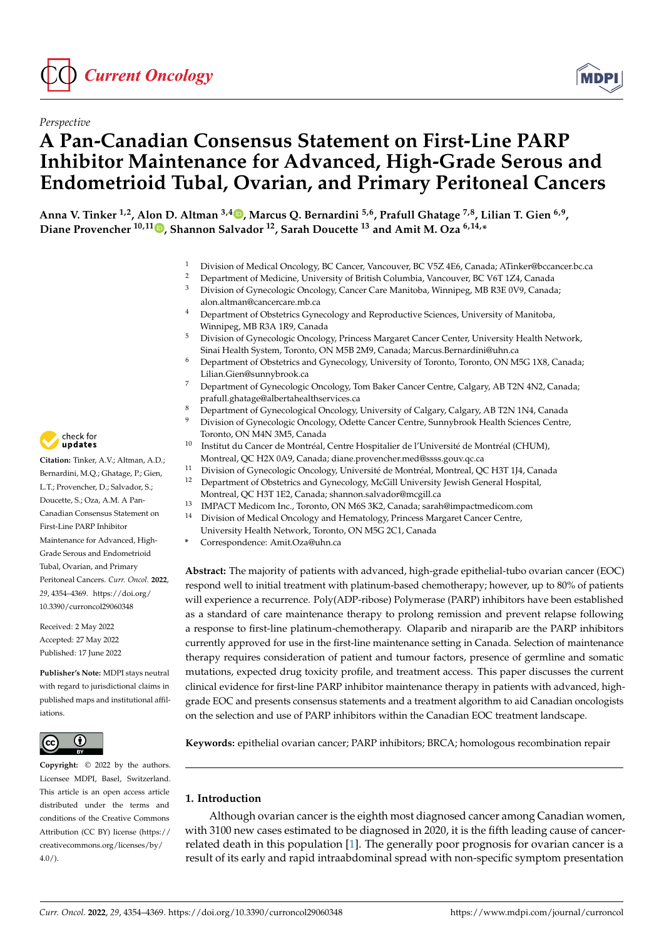



# **A Pan-Canadian Consensus Statement on First-Line PARP Inhibitor Maintenance for Advanced, High-Grade Serous and Endometrioid Tubal, Ovarian, and Primary Peritoneal Cancers**

**Anna V. Tinker 1,2, Alon D. Altman 3,4 [,](https://orcid.org/0000-0002-6345-4910) Marcus Q. Bernardini 5,6, Prafull Ghatage 7,8, Lilian T. Gien 6,9 , Diane Provencher 10,1[1](https://orcid.org/0000-0003-1902-3256) , Shannon Salvador <sup>12</sup>, Sarah Doucette <sup>13</sup> and Amit M. Oza 6,14,\***

- <sup>1</sup> Division of Medical Oncology, BC Cancer, Vancouver, BC V5Z 4E6, Canada; ATinker@bccancer.bc.ca<br><sup>2</sup> Department of Medicine, University of Pritish Columbia Vancouver, BC V6T 174, Canada
- <sup>2</sup> Department of Medicine, University of British Columbia, Vancouver, BC V6T 1Z4, Canada<br><sup>3</sup> Division of Cynocologic Oncology Cancer Caro Manitoba, Winningg, MB P3E 0V9, Canada
- <sup>3</sup> Division of Gynecologic Oncology, Cancer Care Manitoba, Winnipeg, MB R3E 0V9, Canada; alon.altman@cancercare.mb.ca
- <sup>4</sup> Department of Obstetrics Gynecology and Reproductive Sciences, University of Manitoba, Winnipeg, MB R3A 1R9, Canada
- <sup>5</sup> Division of Gynecologic Oncology, Princess Margaret Cancer Center, University Health Network, Sinai Health System, Toronto, ON M5B 2M9, Canada; Marcus.Bernardini@uhn.ca
- <sup>6</sup> Department of Obstetrics and Gynecology, University of Toronto, Toronto, ON M5G 1X8, Canada; Lilian.Gien@sunnybrook.ca
- <sup>7</sup> Department of Gynecologic Oncology, Tom Baker Cancer Centre, Calgary, AB T2N 4N2, Canada; prafull.ghatage@albertahealthservices.ca
- <sup>8</sup> Department of Gynecological Oncology, University of Calgary, Calgary, AB T2N 1N4, Canada
- <sup>9</sup> Division of Gynecologic Oncology, Odette Cancer Centre, Sunnybrook Health Sciences Centre, Toronto, ON M4N 3M5, Canada
- <sup>10</sup> Institut du Cancer de Montréal, Centre Hospitalier de l'Université de Montréal (CHUM), Montreal, QC H2X 0A9, Canada; diane.provencher.med@ssss.gouv.qc.ca
- <sup>11</sup> Division of Gynecologic Oncology, Université de Montréal, Montreal, QC H3T 1J4, Canada<br><sup>12</sup> Department of Obstetrics and Gynecology McGill University Jawish General Hospital
- <sup>12</sup> Department of Obstetrics and Gynecology, McGill University Jewish General Hospital, Montreal, QC H3T 1E2, Canada; shannon.salvador@mcgill.ca
	- <sup>13</sup> IMPACT Medicom Inc., Toronto, ON M6S 3K2, Canada; sarah@impactmedicom.com
	- Division of Medical Oncology and Hematology, Princess Margaret Cancer Centre,
	- University Health Network, Toronto, ON M5G 2C1, Canada
	- **\*** Correspondence: Amit.Oza@uhn.ca

**Abstract:** The majority of patients with advanced, high-grade epithelial-tubo ovarian cancer (EOC) respond well to initial treatment with platinum-based chemotherapy; however, up to 80% of patients will experience a recurrence. Poly(ADP-ribose) Polymerase (PARP) inhibitors have been established as a standard of care maintenance therapy to prolong remission and prevent relapse following a response to first-line platinum-chemotherapy. Olaparib and niraparib are the PARP inhibitors currently approved for use in the first-line maintenance setting in Canada. Selection of maintenance therapy requires consideration of patient and tumour factors, presence of germline and somatic mutations, expected drug toxicity profile, and treatment access. This paper discusses the current clinical evidence for first-line PARP inhibitor maintenance therapy in patients with advanced, highgrade EOC and presents consensus statements and a treatment algorithm to aid Canadian oncologists on the selection and use of PARP inhibitors within the Canadian EOC treatment landscape.

**Keywords:** epithelial ovarian cancer; PARP inhibitors; BRCA; homologous recombination repair

## **1. Introduction**

Although ovarian cancer is the eighth most diagnosed cancer among Canadian women, with 3100 new cases estimated to be diagnosed in 2020, it is the fifth leading cause of cancerrelated death in this population [\[1\]](#page-12-0). The generally poor prognosis for ovarian cancer is a result of its early and rapid intraabdominal spread with non-specific symptom presentation



**Citation:** Tinker, A.V.; Altman, A.D.; Bernardini, M.Q.; Ghatage, P.; Gien, L.T.; Provencher, D.; Salvador, S.; Doucette, S.; Oza, A.M. A Pan-Canadian Consensus Statement on First-Line PARP Inhibitor Maintenance for Advanced, High-Grade Serous and Endometrioid Tubal, Ovarian, and Primary Peritoneal Cancers. *Curr. Oncol.* **2022**, *29*, 4354–4369. [https://doi.org/](https://doi.org/10.3390/curroncol29060348) [10.3390/curroncol29060348](https://doi.org/10.3390/curroncol29060348)

Received: 2 May 2022 Accepted: 27 May 2022 Published: 17 June 2022

**Publisher's Note:** MDPI stays neutral with regard to jurisdictional claims in published maps and institutional affiliations.



**Copyright:** © 2022 by the authors. Licensee MDPI, Basel, Switzerland. This article is an open access article distributed under the terms and conditions of the Creative Commons Attribution (CC BY) license [\(https://](https://creativecommons.org/licenses/by/4.0/) [creativecommons.org/licenses/by/](https://creativecommons.org/licenses/by/4.0/)  $4.0/$ ).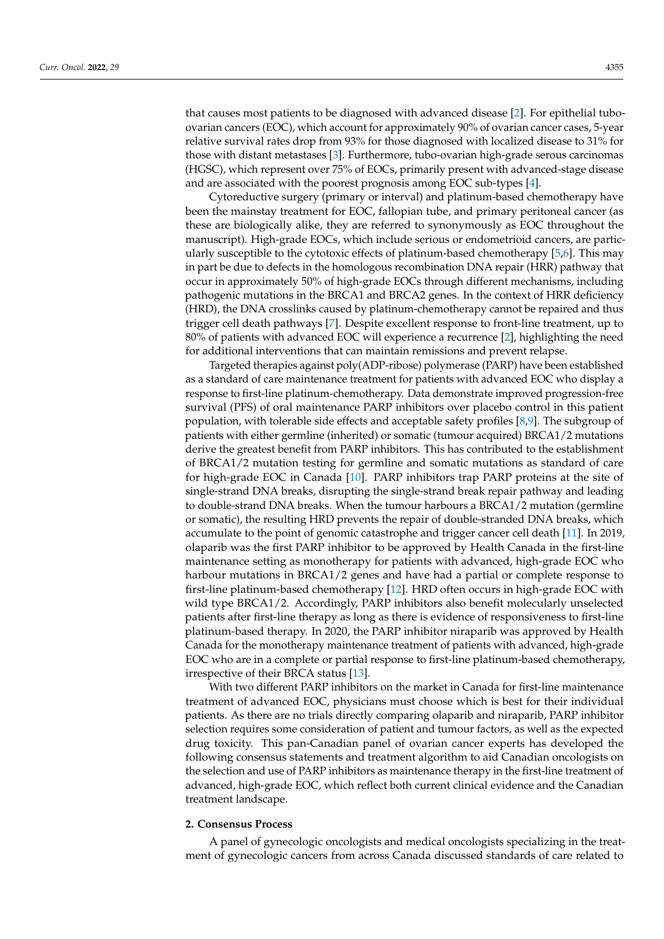that causes most patients to be diagnosed with advanced disease [\[2\]](#page-12-1). For epithelial tuboovarian cancers (EOC), which account for approximately 90% of ovarian cancer cases, 5-year relative survival rates drop from 93% for those diagnosed with localized disease to 31% for those with distant metastases [\[3\]](#page-12-2). Furthermore, tubo-ovarian high-grade serous carcinomas (HGSC), which represent over 75% of EOCs, primarily present with advanced-stage disease and are associated with the poorest prognosis among EOC sub-types [\[4\]](#page-12-3).

Cytoreductive surgery (primary or interval) and platinum-based chemotherapy have been the mainstay treatment for EOC, fallopian tube, and primary peritoneal cancer (as these are biologically alike, they are referred to synonymously as EOC throughout the manuscript). High-grade EOCs, which include serious or endometrioid cancers, are particularly susceptible to the cytotoxic effects of platinum-based chemotherapy [\[5,](#page-12-4)[6\]](#page-12-5). This may in part be due to defects in the homologous recombination DNA repair (HRR) pathway that occur in approximately 50% of high-grade EOCs through different mechanisms, including pathogenic mutations in the BRCA1 and BRCA2 genes. In the context of HRR deficiency (HRD), the DNA crosslinks caused by platinum-chemotherapy cannot be repaired and thus trigger cell death pathways [\[7\]](#page-12-6). Despite excellent response to front-line treatment, up to 80% of patients with advanced EOC will experience a recurrence [\[2\]](#page-12-1), highlighting the need for additional interventions that can maintain remissions and prevent relapse.

Targeted therapies against poly(ADP-ribose) polymerase (PARP) have been established as a standard of care maintenance treatment for patients with advanced EOC who display a response to first-line platinum-chemotherapy. Data demonstrate improved progression-free survival (PFS) of oral maintenance PARP inhibitors over placebo control in this patient population, with tolerable side effects and acceptable safety profiles [\[8](#page-12-7)[,9\]](#page-12-8). The subgroup of patients with either germline (inherited) or somatic (tumour acquired) BRCA1/2 mutations derive the greatest benefit from PARP inhibitors. This has contributed to the establishment of BRCA1/2 mutation testing for germline and somatic mutations as standard of care for high-grade EOC in Canada [\[10\]](#page-12-9). PARP inhibitors trap PARP proteins at the site of single-strand DNA breaks, disrupting the single-strand break repair pathway and leading to double-strand DNA breaks. When the tumour harbours a BRCA1/2 mutation (germline or somatic), the resulting HRD prevents the repair of double-stranded DNA breaks, which accumulate to the point of genomic catastrophe and trigger cancer cell death [\[11\]](#page-12-10). In 2019, olaparib was the first PARP inhibitor to be approved by Health Canada in the first-line maintenance setting as monotherapy for patients with advanced, high-grade EOC who harbour mutations in BRCA1/2 genes and have had a partial or complete response to first-line platinum-based chemotherapy [\[12\]](#page-12-11). HRD often occurs in high-grade EOC with wild type BRCA1/2. Accordingly, PARP inhibitors also benefit molecularly unselected patients after first-line therapy as long as there is evidence of responsiveness to first-line platinum-based therapy. In 2020, the PARP inhibitor niraparib was approved by Health Canada for the monotherapy maintenance treatment of patients with advanced, high-grade EOC who are in a complete or partial response to first-line platinum-based chemotherapy, irrespective of their BRCA status [\[13\]](#page-12-12).

With two different PARP inhibitors on the market in Canada for first-line maintenance treatment of advanced EOC, physicians must choose which is best for their individual patients. As there are no trials directly comparing olaparib and niraparib, PARP inhibitor selection requires some consideration of patient and tumour factors, as well as the expected drug toxicity. This pan-Canadian panel of ovarian cancer experts has developed the following consensus statements and treatment algorithm to aid Canadian oncologists on the selection and use of PARP inhibitors as maintenance therapy in the first-line treatment of advanced, high-grade EOC, which reflect both current clinical evidence and the Canadian treatment landscape.

## **2. Consensus Process**

A panel of gynecologic oncologists and medical oncologists specializing in the treatment of gynecologic cancers from across Canada discussed standards of care related to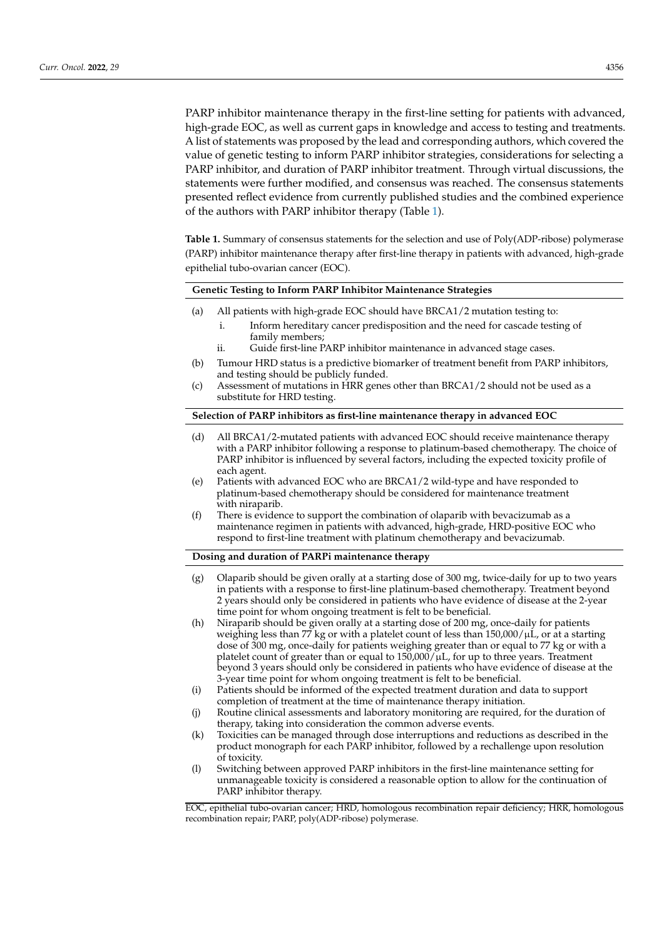PARP inhibitor maintenance therapy in the first-line setting for patients with advanced, high-grade EOC, as well as current gaps in knowledge and access to testing and treatments. A list of statements was proposed by the lead and corresponding authors, which covered the value of genetic testing to inform PARP inhibitor strategies, considerations for selecting a PARP inhibitor, and duration of PARP inhibitor treatment. Through virtual discussions, the statements were further modified, and consensus was reached. The consensus statements presented reflect evidence from currently published studies and the combined experience of the authors with PARP inhibitor therapy (Table [1\)](#page-2-0).

<span id="page-2-0"></span>**Table 1.** Summary of consensus statements for the selection and use of Poly(ADP-ribose) polymerase (PARP) inhibitor maintenance therapy after first-line therapy in patients with advanced, high-grade epithelial tubo-ovarian cancer (EOC).

#### **Genetic Testing to Inform PARP Inhibitor Maintenance Strategies**

- (a) All patients with high-grade EOC should have BRCA1/2 mutation testing to:
	- i. Inform hereditary cancer predisposition and the need for cascade testing of family members;
	- ii. Guide first-line PARP inhibitor maintenance in advanced stage cases.
- (b) Tumour HRD status is a predictive biomarker of treatment benefit from PARP inhibitors, and testing should be publicly funded.
- (c) Assessment of mutations in HRR genes other than BRCA1/2 should not be used as a substitute for HRD testing.

#### **Selection of PARP inhibitors as first-line maintenance therapy in advanced EOC**

- (d) All BRCA1/2-mutated patients with advanced EOC should receive maintenance therapy with a PARP inhibitor following a response to platinum-based chemotherapy. The choice of PARP inhibitor is influenced by several factors, including the expected toxicity profile of each agent.
- (e) Patients with advanced EOC who are BRCA1/2 wild-type and have responded to platinum-based chemotherapy should be considered for maintenance treatment with niraparib.
- (f) There is evidence to support the combination of olaparib with bevacizumab as a maintenance regimen in patients with advanced, high-grade, HRD-positive EOC who respond to first-line treatment with platinum chemotherapy and bevacizumab.

#### **Dosing and duration of PARPi maintenance therapy**

- (g) Olaparib should be given orally at a starting dose of 300 mg, twice-daily for up to two years in patients with a response to first-line platinum-based chemotherapy. Treatment beyond 2 years should only be considered in patients who have evidence of disease at the 2-year time point for whom ongoing treatment is felt to be beneficial.
- (h) Niraparib should be given orally at a starting dose of 200 mg, once-daily for patients weighing less than 77 kg or with a platelet count of less than  $150,000/\mu L$ , or at a starting dose of 300 mg, once-daily for patients weighing greater than or equal to 77 kg or with a platelet count of greater than or equal to  $150,000/\mu L$ , for up to three years. Treatment beyond 3 years should only be considered in patients who have evidence of disease at the 3-year time point for whom ongoing treatment is felt to be beneficial.
- (i) Patients should be informed of the expected treatment duration and data to support completion of treatment at the time of maintenance therapy initiation.
- Routine clinical assessments and laboratory monitoring are required, for the duration of therapy, taking into consideration the common adverse events.
- (k) Toxicities can be managed through dose interruptions and reductions as described in the product monograph for each PARP inhibitor, followed by a rechallenge upon resolution of toxicity.
- (l) Switching between approved PARP inhibitors in the first-line maintenance setting for unmanageable toxicity is considered a reasonable option to allow for the continuation of PARP inhibitor therapy.

EOC, epithelial tubo-ovarian cancer; HRD, homologous recombination repair deficiency; HRR, homologous recombination repair; PARP, poly(ADP-ribose) polymerase.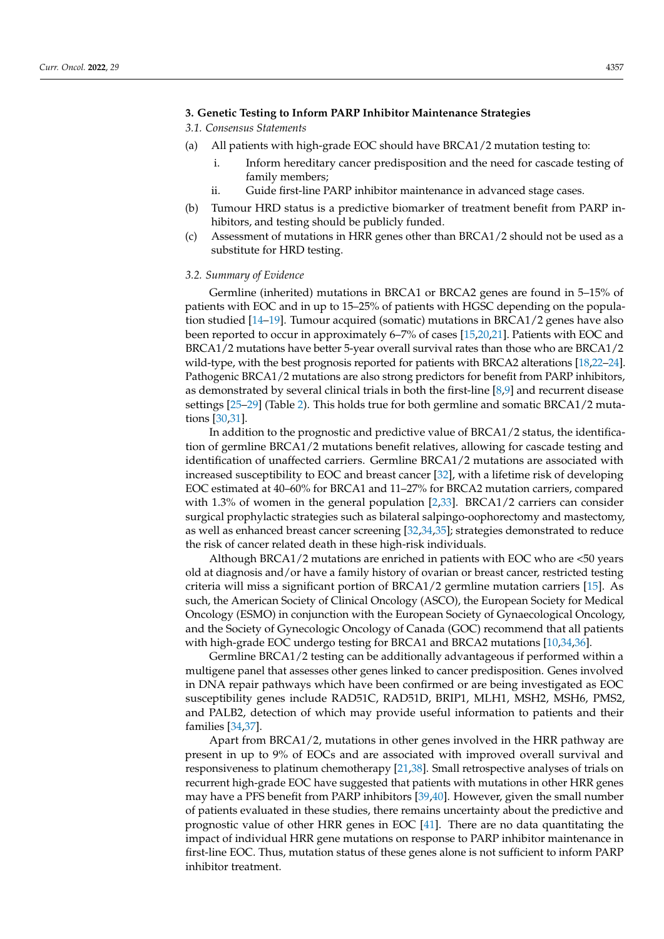## **3. Genetic Testing to Inform PARP Inhibitor Maintenance Strategies**

*3.1. Consensus Statements*

- (a) All patients with high-grade EOC should have BRCA1/2 mutation testing to:
	- i. Inform hereditary cancer predisposition and the need for cascade testing of family members;
	- ii. Guide first-line PARP inhibitor maintenance in advanced stage cases.
- (b) Tumour HRD status is a predictive biomarker of treatment benefit from PARP inhibitors, and testing should be publicly funded.
- (c) Assessment of mutations in HRR genes other than BRCA1/2 should not be used as a substitute for HRD testing.

## *3.2. Summary of Evidence*

Germline (inherited) mutations in BRCA1 or BRCA2 genes are found in 5–15% of patients with EOC and in up to 15–25% of patients with HGSC depending on the population studied [\[14](#page-12-13)[–19\]](#page-12-14). Tumour acquired (somatic) mutations in BRCA1/2 genes have also been reported to occur in approximately 6–7% of cases [\[15,](#page-12-15)[20,](#page-12-16)[21\]](#page-12-17). Patients with EOC and BRCA1/2 mutations have better 5-year overall survival rates than those who are BRCA1/2 wild-type, with the best prognosis reported for patients with BRCA2 alterations [\[18,](#page-12-18)[22–](#page-12-19)[24\]](#page-13-0). Pathogenic BRCA1/2 mutations are also strong predictors for benefit from PARP inhibitors, as demonstrated by several clinical trials in both the first-line [\[8,](#page-12-7)[9\]](#page-12-8) and recurrent disease settings [\[25–](#page-13-1)[29\]](#page-13-2) (Table [2\)](#page-5-0). This holds true for both germline and somatic BRCA1/2 mutations [\[30](#page-13-3)[,31\]](#page-13-4).

In addition to the prognostic and predictive value of BRCA1/2 status, the identification of germline BRCA1/2 mutations benefit relatives, allowing for cascade testing and identification of unaffected carriers. Germline BRCA1/2 mutations are associated with increased susceptibility to EOC and breast cancer [\[32\]](#page-13-5), with a lifetime risk of developing EOC estimated at 40–60% for BRCA1 and 11–27% for BRCA2 mutation carriers, compared with 1.3% of women in the general population [\[2,](#page-12-1)[33\]](#page-13-6). BRCA1/2 carriers can consider surgical prophylactic strategies such as bilateral salpingo-oophorectomy and mastectomy, as well as enhanced breast cancer screening [\[32](#page-13-5)[,34](#page-13-7)[,35\]](#page-13-8); strategies demonstrated to reduce the risk of cancer related death in these high-risk individuals.

Although BRCA1/2 mutations are enriched in patients with EOC who are <50 years old at diagnosis and/or have a family history of ovarian or breast cancer, restricted testing criteria will miss a significant portion of BRCA1/2 germline mutation carriers [\[15\]](#page-12-15). As such, the American Society of Clinical Oncology (ASCO), the European Society for Medical Oncology (ESMO) in conjunction with the European Society of Gynaecological Oncology, and the Society of Gynecologic Oncology of Canada (GOC) recommend that all patients with high-grade EOC undergo testing for BRCA1 and BRCA2 mutations [\[10](#page-12-9)[,34](#page-13-7)[,36\]](#page-13-9).

Germline BRCA1/2 testing can be additionally advantageous if performed within a multigene panel that assesses other genes linked to cancer predisposition. Genes involved in DNA repair pathways which have been confirmed or are being investigated as EOC susceptibility genes include RAD51C, RAD51D, BRIP1, MLH1, MSH2, MSH6, PMS2, and PALB2, detection of which may provide useful information to patients and their families [\[34](#page-13-7)[,37\]](#page-13-10).

Apart from BRCA1/2, mutations in other genes involved in the HRR pathway are present in up to 9% of EOCs and are associated with improved overall survival and responsiveness to platinum chemotherapy [\[21](#page-12-17)[,38\]](#page-13-11). Small retrospective analyses of trials on recurrent high-grade EOC have suggested that patients with mutations in other HRR genes may have a PFS benefit from PARP inhibitors [\[39,](#page-13-12)[40\]](#page-13-13). However, given the small number of patients evaluated in these studies, there remains uncertainty about the predictive and prognostic value of other HRR genes in EOC [\[41\]](#page-13-14). There are no data quantitating the impact of individual HRR gene mutations on response to PARP inhibitor maintenance in first-line EOC. Thus, mutation status of these genes alone is not sufficient to inform PARP inhibitor treatment.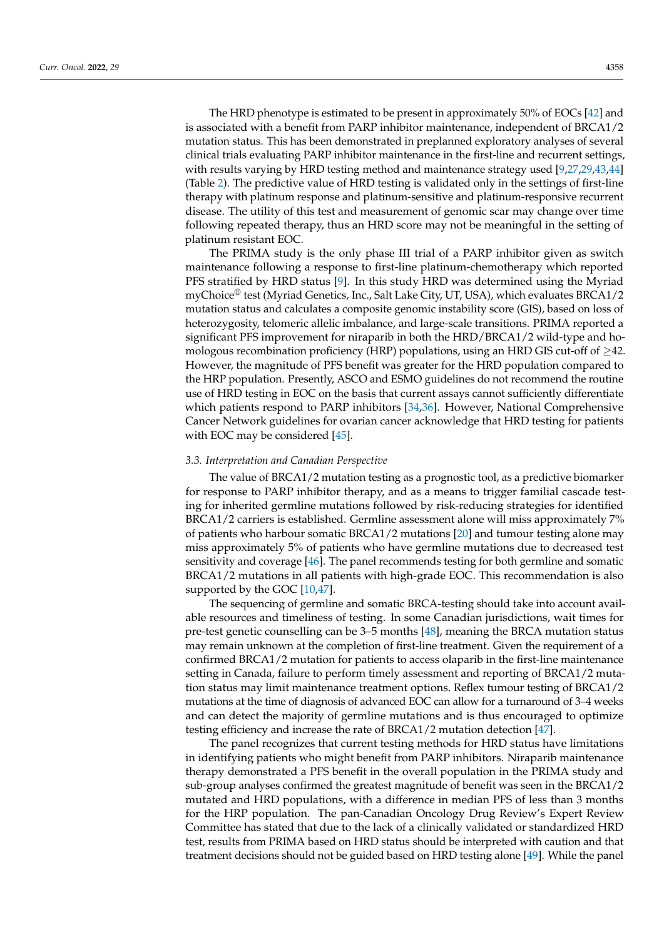The HRD phenotype is estimated to be present in approximately 50% of EOCs [\[42\]](#page-13-15) and is associated with a benefit from PARP inhibitor maintenance, independent of BRCA1/2 mutation status. This has been demonstrated in preplanned exploratory analyses of several clinical trials evaluating PARP inhibitor maintenance in the first-line and recurrent settings, with results varying by HRD testing method and maintenance strategy used [\[9](#page-12-8)[,27](#page-13-16)[,29,](#page-13-2)[43,](#page-13-17)[44\]](#page-14-0) (Table [2\)](#page-5-0). The predictive value of HRD testing is validated only in the settings of first-line therapy with platinum response and platinum-sensitive and platinum-responsive recurrent disease. The utility of this test and measurement of genomic scar may change over time following repeated therapy, thus an HRD score may not be meaningful in the setting of platinum resistant EOC.

The PRIMA study is the only phase III trial of a PARP inhibitor given as switch maintenance following a response to first-line platinum-chemotherapy which reported PFS stratified by HRD status [\[9\]](#page-12-8). In this study HRD was determined using the Myriad myChoice® test (Myriad Genetics, Inc., Salt Lake City, UT, USA), which evaluates BRCA1/2 mutation status and calculates a composite genomic instability score (GIS), based on loss of heterozygosity, telomeric allelic imbalance, and large-scale transitions. PRIMA reported a significant PFS improvement for niraparib in both the HRD/BRCA1/2 wild-type and homologous recombination proficiency (HRP) populations, using an HRD GIS cut-off of  $\geq$ 42. However, the magnitude of PFS benefit was greater for the HRD population compared to the HRP population. Presently, ASCO and ESMO guidelines do not recommend the routine use of HRD testing in EOC on the basis that current assays cannot sufficiently differentiate which patients respond to PARP inhibitors [\[34,](#page-13-7)[36\]](#page-13-9). However, National Comprehensive Cancer Network guidelines for ovarian cancer acknowledge that HRD testing for patients with EOC may be considered [\[45\]](#page-14-1).

## *3.3. Interpretation and Canadian Perspective*

The value of BRCA1/2 mutation testing as a prognostic tool, as a predictive biomarker for response to PARP inhibitor therapy, and as a means to trigger familial cascade testing for inherited germline mutations followed by risk-reducing strategies for identified BRCA1/2 carriers is established. Germline assessment alone will miss approximately 7% of patients who harbour somatic BRCA1/2 mutations [\[20\]](#page-12-16) and tumour testing alone may miss approximately 5% of patients who have germline mutations due to decreased test sensitivity and coverage [\[46\]](#page-14-2). The panel recommends testing for both germline and somatic BRCA1/2 mutations in all patients with high-grade EOC. This recommendation is also supported by the GOC [\[10,](#page-12-9)[47\]](#page-14-3).

The sequencing of germline and somatic BRCA-testing should take into account available resources and timeliness of testing. In some Canadian jurisdictions, wait times for pre-test genetic counselling can be 3–5 months [\[48\]](#page-14-4), meaning the BRCA mutation status may remain unknown at the completion of first-line treatment. Given the requirement of a confirmed BRCA1/2 mutation for patients to access olaparib in the first-line maintenance setting in Canada, failure to perform timely assessment and reporting of BRCA1/2 mutation status may limit maintenance treatment options. Reflex tumour testing of BRCA1/2 mutations at the time of diagnosis of advanced EOC can allow for a turnaround of 3–4 weeks and can detect the majority of germline mutations and is thus encouraged to optimize testing efficiency and increase the rate of BRCA1/2 mutation detection [\[47\]](#page-14-3).

The panel recognizes that current testing methods for HRD status have limitations in identifying patients who might benefit from PARP inhibitors. Niraparib maintenance therapy demonstrated a PFS benefit in the overall population in the PRIMA study and sub-group analyses confirmed the greatest magnitude of benefit was seen in the BRCA1/2 mutated and HRD populations, with a difference in median PFS of less than 3 months for the HRP population. The pan-Canadian Oncology Drug Review's Expert Review Committee has stated that due to the lack of a clinically validated or standardized HRD test, results from PRIMA based on HRD status should be interpreted with caution and that treatment decisions should not be guided based on HRD testing alone [\[49\]](#page-14-5). While the panel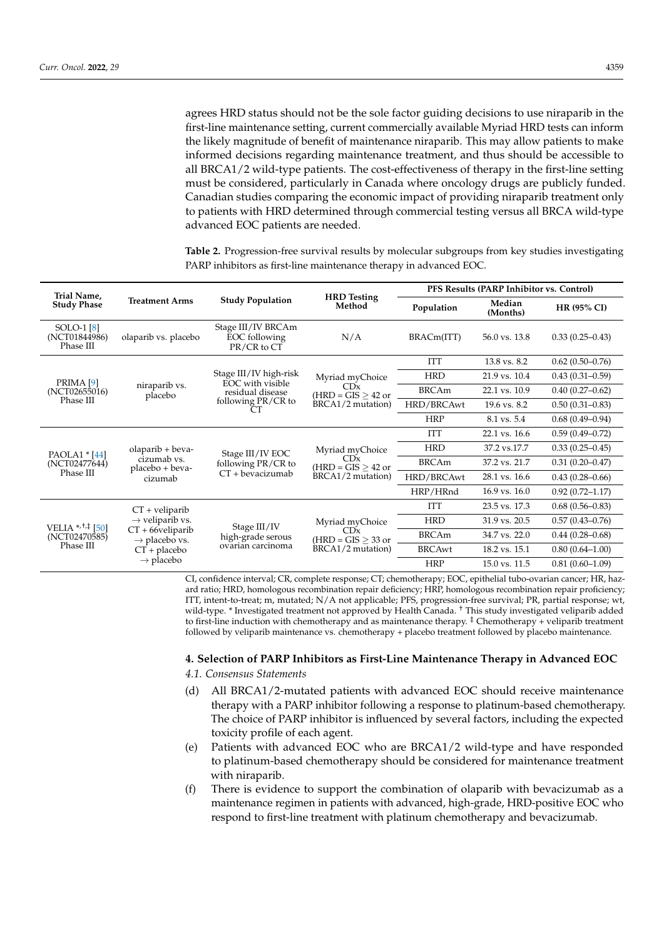agrees HRD status should not be the sole factor guiding decisions to use niraparib in the first-line maintenance setting, current commercially available Myriad HRD tests can inform the likely magnitude of benefit of maintenance niraparib. This may allow patients to make informed decisions regarding maintenance treatment, and thus should be accessible to all BRCA1/2 wild-type patients. The cost-effectiveness of therapy in the first-line setting must be considered, particularly in Canada where oncology drugs are publicly funded. Canadian studies comparing the economic impact of providing niraparib treatment only to patients with HRD determined through commercial testing versus all BRCA wild-type advanced EOC patients are needed.

<span id="page-5-0"></span>**Table 2.** Progression-free survival results by molecular subgroups from key studies investigating PARP inhibitors as first-line maintenance therapy in advanced EOC.

| Trial Name,<br><b>Study Phase</b>                                | <b>Treatment Arms</b>                                                                                                                          | <b>Study Population</b>                                                              | <b>HRD</b> Testing<br>Method                                                  | PFS Results (PARP Inhibitor vs. Control) |                    |                     |
|------------------------------------------------------------------|------------------------------------------------------------------------------------------------------------------------------------------------|--------------------------------------------------------------------------------------|-------------------------------------------------------------------------------|------------------------------------------|--------------------|---------------------|
|                                                                  |                                                                                                                                                |                                                                                      |                                                                               | Population                               | Median<br>(Months) | <b>HR (95% CI)</b>  |
| SOLO-1 <sup>[8]</sup><br>(NCT01844986)<br>Phase III              | olaparib vs. placebo                                                                                                                           | Stage III/IV BRCAm<br>EOC following<br>PR/CR to CT                                   | N/A                                                                           | BRACm(ITT)                               | 56.0 vs. 13.8      | $0.33(0.25-0.43)$   |
| PRIMA <sup>[9]</sup><br>(NCT02655016)<br>Phase III               | niraparib vs.<br>placebo                                                                                                                       | Stage III/IV high-risk<br>EOC with visible<br>residual disease<br>following PR/CR to | Myriad myChoice<br>CDx<br>$(HRD = GIS > 42$ or<br>BRCA1/2 mutation)           | <b>ITT</b>                               | 13.8 vs. 8.2       | $0.62(0.50-0.76)$   |
|                                                                  |                                                                                                                                                |                                                                                      |                                                                               | <b>HRD</b>                               | 21.9 vs. 10.4      | $0.43(0.31-0.59)$   |
|                                                                  |                                                                                                                                                |                                                                                      |                                                                               | <b>BRCAm</b>                             | 22.1 vs. 10.9      | $0.40(0.27-0.62)$   |
|                                                                  |                                                                                                                                                |                                                                                      |                                                                               | HRD/BRCAwt                               | $19.6$ vs. $8.2$   | $0.50(0.31 - 0.83)$ |
|                                                                  |                                                                                                                                                |                                                                                      |                                                                               | <b>HRP</b>                               | 8.1 vs. 5.4        | $0.68(0.49 - 0.94)$ |
| PAOLA1 $*$ [44]<br>(NCT02477644)<br>Phase III                    | olaparib + beva-<br>cizumab vs.<br>placebo + beva-<br>cizumab                                                                                  | Stage III/IV EOC<br>following PR/CR to<br>$CT + bevacizumab$                         | Myriad myChoice<br>CDx<br>(HRD = GIS $\geq$ 42 or<br>BRCA1/2 mutation)        | ITT                                      | 22.1 vs. 16.6      | $0.59(0.49 - 0.72)$ |
|                                                                  |                                                                                                                                                |                                                                                      |                                                                               | <b>HRD</b>                               | 37.2 vs.17.7       | $0.33(0.25 - 0.45)$ |
|                                                                  |                                                                                                                                                |                                                                                      |                                                                               | <b>BRCAm</b>                             | 37.2 vs. 21.7      | $0.31(0.20 - 0.47)$ |
|                                                                  |                                                                                                                                                |                                                                                      |                                                                               | HRD/BRCAwt                               | 28.1 vs. 16.6      | $0.43(0.28 - 0.66)$ |
|                                                                  |                                                                                                                                                |                                                                                      |                                                                               | HRP/HRnd                                 | $16.9$ vs. $16.0$  | $0.92(0.72 - 1.17)$ |
| VELIA *, $^{\dagger,\dagger}$ [50]<br>(NCT02470585)<br>Phase III | $CT +$ veliparib<br>$\rightarrow$ veliparib vs.<br>$CT + 66$ veliparib<br>$\rightarrow$ placebo vs.<br>$CT + placebo$<br>$\rightarrow$ placebo | Stage III/IV<br>high-grade serous<br>ovarian carcinoma                               | Myriad myChoice<br>CDx<br>(HRD = $\text{GIS} \geq 33$ or<br>BRCA1/2 mutation) | <b>ITT</b>                               | 23.5 vs. 17.3      | $0.68(0.56 - 0.83)$ |
|                                                                  |                                                                                                                                                |                                                                                      |                                                                               | <b>HRD</b>                               | 31.9 vs. 20.5      | $0.57(0.43 - 0.76)$ |
|                                                                  |                                                                                                                                                |                                                                                      |                                                                               | <b>BRCAm</b>                             | 34.7 vs. 22.0      | $0.44(0.28 - 0.68)$ |
|                                                                  |                                                                                                                                                |                                                                                      |                                                                               | <b>BRCAwt</b>                            | 18.2 vs. 15.1      | $0.80(0.64 - 1.00)$ |
|                                                                  |                                                                                                                                                |                                                                                      |                                                                               | <b>HRP</b>                               | $15.0$ vs. $11.5$  | $0.81(0.60-1.09)$   |

CI, confidence interval; CR, complete response; CT; chemotherapy; EOC, epithelial tubo-ovarian cancer; HR, hazard ratio; HRD, homologous recombination repair deficiency; HRP, homologous recombination repair proficiency; ITT, intent-to-treat; m, mutated; N/A not applicable; PFS, progression-free survival; PR, partial response; wt, wild-type. \* Investigated treatment not approved by Health Canada. † This study investigated veliparib added to first-line induction with chemotherapy and as maintenance therapy. ‡ Chemotherapy + veliparib treatment followed by veliparib maintenance vs. chemotherapy + placebo treatment followed by placebo maintenance.

## **4. Selection of PARP Inhibitors as First-Line Maintenance Therapy in Advanced EOC**

*4.1. Consensus Statements*

- (d) All BRCA1/2-mutated patients with advanced EOC should receive maintenance therapy with a PARP inhibitor following a response to platinum-based chemotherapy. The choice of PARP inhibitor is influenced by several factors, including the expected toxicity profile of each agent.
- (e) Patients with advanced EOC who are BRCA1/2 wild-type and have responded to platinum-based chemotherapy should be considered for maintenance treatment with niraparib.
- (f) There is evidence to support the combination of olaparib with bevacizumab as a maintenance regimen in patients with advanced, high-grade, HRD-positive EOC who respond to first-line treatment with platinum chemotherapy and bevacizumab.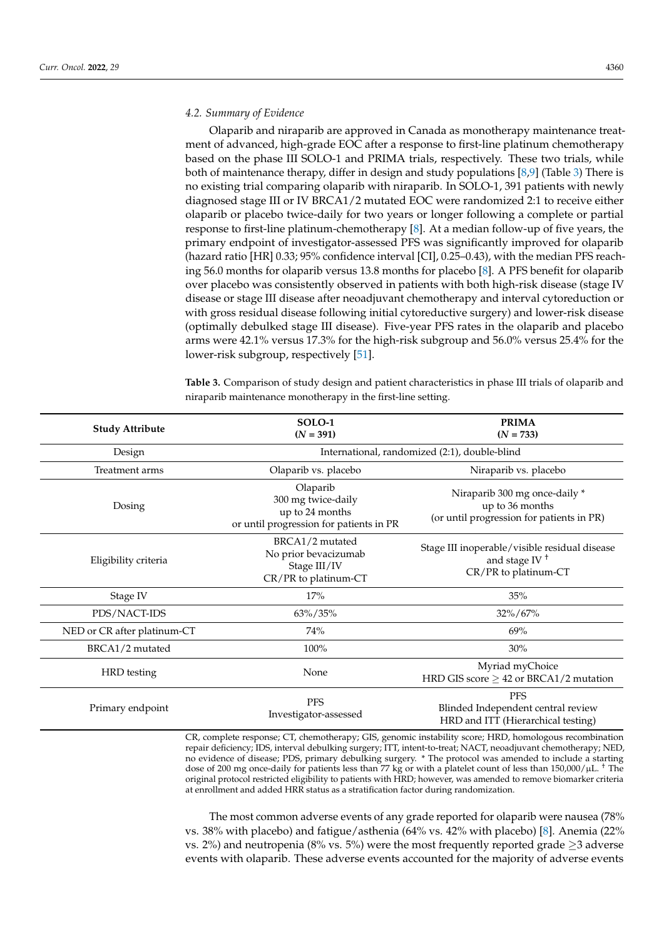## *4.2. Summary of Evidence*

Olaparib and niraparib are approved in Canada as monotherapy maintenance treatment of advanced, high-grade EOC after a response to first-line platinum chemotherapy based on the phase III SOLO-1 and PRIMA trials, respectively. These two trials, while both of maintenance therapy, differ in design and study populations [\[8](#page-12-7)[,9\]](#page-12-8) (Table [3\)](#page-6-0) There is no existing trial comparing olaparib with niraparib. In SOLO-1, 391 patients with newly diagnosed stage III or IV BRCA1/2 mutated EOC were randomized 2:1 to receive either olaparib or placebo twice-daily for two years or longer following a complete or partial response to first-line platinum-chemotherapy [\[8\]](#page-12-7). At a median follow-up of five years, the primary endpoint of investigator-assessed PFS was significantly improved for olaparib (hazard ratio [HR] 0.33; 95% confidence interval [CI], 0.25–0.43), with the median PFS reaching 56.0 months for olaparib versus 13.8 months for placebo [\[8\]](#page-12-7). A PFS benefit for olaparib over placebo was consistently observed in patients with both high-risk disease (stage IV disease or stage III disease after neoadjuvant chemotherapy and interval cytoreduction or with gross residual disease following initial cytoreductive surgery) and lower-risk disease (optimally debulked stage III disease). Five-year PFS rates in the olaparib and placebo arms were 42.1% versus 17.3% for the high-risk subgroup and 56.0% versus 25.4% for the lower-risk subgroup, respectively [\[51\]](#page-14-7).

<span id="page-6-0"></span>**Table 3.** Comparison of study design and patient characteristics in phase III trials of olaparib and niraparib maintenance monotherapy in the first-line setting.

| <b>Study Attribute</b>      | SOLO-1<br>$(N = 391)$                                                                        | <b>PRIMA</b><br>$(N = 733)$                                                                   |  |  |
|-----------------------------|----------------------------------------------------------------------------------------------|-----------------------------------------------------------------------------------------------|--|--|
| Design                      | International, randomized (2:1), double-blind                                                |                                                                                               |  |  |
| <b>Treatment</b> arms       | Olaparib vs. placebo                                                                         | Niraparib vs. placebo                                                                         |  |  |
| Dosing                      | Olaparib<br>300 mg twice-daily<br>up to 24 months<br>or until progression for patients in PR | Niraparib 300 mg once-daily *<br>up to 36 months<br>(or until progression for patients in PR) |  |  |
| Eligibility criteria        | BRCA1/2 mutated<br>No prior bevacizumab<br>Stage III/IV<br>CR/PR to platinum-CT              | Stage III inoperable/visible residual disease<br>and stage IV $+$<br>CR/PR to platinum-CT     |  |  |
| Stage IV                    | 17%                                                                                          | 35%                                                                                           |  |  |
| PDS/NACT-IDS                | 63%/35%                                                                                      | 32%/67%                                                                                       |  |  |
| NED or CR after platinum-CT | 74%                                                                                          | 69%                                                                                           |  |  |
| BRCA1/2 mutated             | 100%                                                                                         | 30%                                                                                           |  |  |
| HRD testing                 | None                                                                                         | Myriad myChoice<br>HRD GIS score $\geq$ 42 or BRCA1/2 mutation                                |  |  |
| Primary endpoint            | <b>PFS</b><br>Investigator-assessed                                                          | <b>PFS</b><br>Blinded Independent central review<br>HRD and ITT (Hierarchical testing)        |  |  |

CR, complete response; CT, chemotherapy; GIS, genomic instability score; HRD, homologous recombination repair deficiency; IDS, interval debulking surgery; ITT, intent-to-treat; NACT, neoadjuvant chemotherapy; NED, no evidence of disease; PDS, primary debulking surgery. \* The protocol was amended to include a starting dose of 200 mg once-daily for patients less than 77 kg or with a platelet count of less than  $150,000/\mu L$ . <sup>†</sup> The original protocol restricted eligibility to patients with HRD; however, was amended to remove biomarker criteria at enrollment and added HRR status as a stratification factor during randomization.

The most common adverse events of any grade reported for olaparib were nausea (78% vs. 38% with placebo) and fatigue/asthenia (64% vs. 42% with placebo) [\[8\]](#page-12-7). Anemia (22% vs. 2%) and neutropenia (8% vs. 5%) were the most frequently reported grade  $\geq$ 3 adverse events with olaparib. These adverse events accounted for the majority of adverse events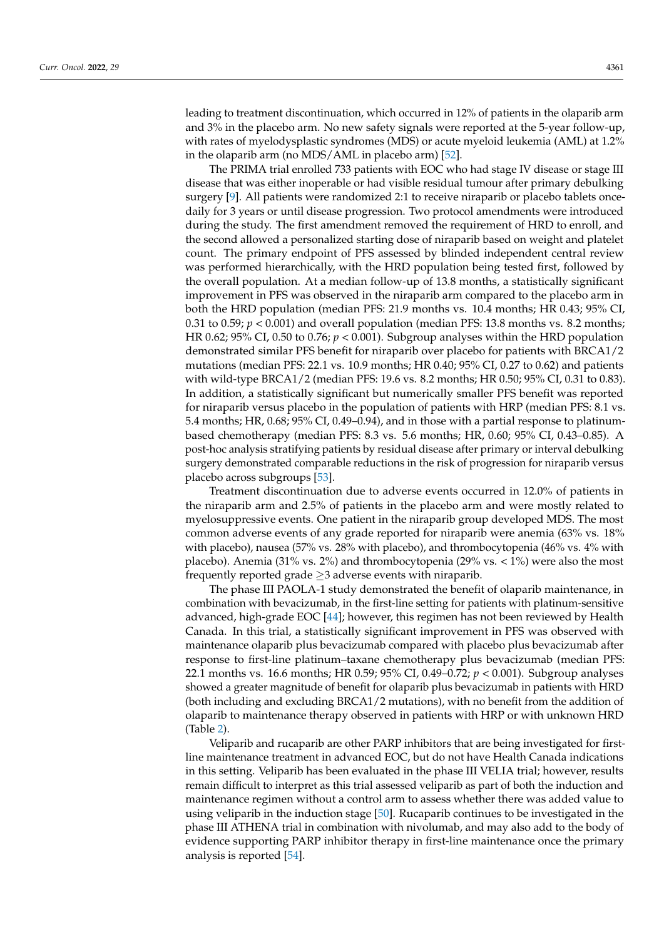leading to treatment discontinuation, which occurred in 12% of patients in the olaparib arm and 3% in the placebo arm. No new safety signals were reported at the 5-year follow-up, with rates of myelodysplastic syndromes (MDS) or acute myeloid leukemia (AML) at 1.2% in the olaparib arm (no MDS/AML in placebo arm) [\[52\]](#page-14-8).

The PRIMA trial enrolled 733 patients with EOC who had stage IV disease or stage III disease that was either inoperable or had visible residual tumour after primary debulking surgery [\[9\]](#page-12-8). All patients were randomized 2:1 to receive niraparib or placebo tablets oncedaily for 3 years or until disease progression. Two protocol amendments were introduced during the study. The first amendment removed the requirement of HRD to enroll, and the second allowed a personalized starting dose of niraparib based on weight and platelet count. The primary endpoint of PFS assessed by blinded independent central review was performed hierarchically, with the HRD population being tested first, followed by the overall population. At a median follow-up of 13.8 months, a statistically significant improvement in PFS was observed in the niraparib arm compared to the placebo arm in both the HRD population (median PFS: 21.9 months vs. 10.4 months; HR 0.43; 95% CI, 0.31 to 0.59;  $p < 0.001$ ) and overall population (median PFS: 13.8 months vs. 8.2 months; HR 0.62; 95% CI, 0.50 to 0.76; *p* < 0.001). Subgroup analyses within the HRD population demonstrated similar PFS benefit for niraparib over placebo for patients with BRCA1/2 mutations (median PFS: 22.1 vs. 10.9 months; HR 0.40; 95% CI, 0.27 to 0.62) and patients with wild-type BRCA1/2 (median PFS: 19.6 vs. 8.2 months; HR 0.50; 95% CI, 0.31 to 0.83). In addition, a statistically significant but numerically smaller PFS benefit was reported for niraparib versus placebo in the population of patients with HRP (median PFS: 8.1 vs. 5.4 months; HR, 0.68; 95% CI, 0.49–0.94), and in those with a partial response to platinumbased chemotherapy (median PFS: 8.3 vs. 5.6 months; HR, 0.60; 95% CI, 0.43–0.85). A post-hoc analysis stratifying patients by residual disease after primary or interval debulking surgery demonstrated comparable reductions in the risk of progression for niraparib versus placebo across subgroups [\[53\]](#page-14-9).

Treatment discontinuation due to adverse events occurred in 12.0% of patients in the niraparib arm and 2.5% of patients in the placebo arm and were mostly related to myelosuppressive events. One patient in the niraparib group developed MDS. The most common adverse events of any grade reported for niraparib were anemia (63% vs. 18% with placebo), nausea (57% vs. 28% with placebo), and thrombocytopenia (46% vs. 4% with placebo). Anemia (31% vs. 2%) and thrombocytopenia (29% vs.  $\lt$  1%) were also the most frequently reported grade  $\geq$ 3 adverse events with niraparib.

The phase III PAOLA-1 study demonstrated the benefit of olaparib maintenance, in combination with bevacizumab, in the first-line setting for patients with platinum-sensitive advanced, high-grade EOC [\[44\]](#page-14-0); however, this regimen has not been reviewed by Health Canada. In this trial, a statistically significant improvement in PFS was observed with maintenance olaparib plus bevacizumab compared with placebo plus bevacizumab after response to first-line platinum–taxane chemotherapy plus bevacizumab (median PFS: 22.1 months vs. 16.6 months; HR 0.59; 95% CI, 0.49–0.72; *p* < 0.001). Subgroup analyses showed a greater magnitude of benefit for olaparib plus bevacizumab in patients with HRD (both including and excluding BRCA1/2 mutations), with no benefit from the addition of olaparib to maintenance therapy observed in patients with HRP or with unknown HRD (Table [2\)](#page-5-0).

Veliparib and rucaparib are other PARP inhibitors that are being investigated for firstline maintenance treatment in advanced EOC, but do not have Health Canada indications in this setting. Veliparib has been evaluated in the phase III VELIA trial; however, results remain difficult to interpret as this trial assessed veliparib as part of both the induction and maintenance regimen without a control arm to assess whether there was added value to using veliparib in the induction stage [\[50\]](#page-14-6). Rucaparib continues to be investigated in the phase III ATHENA trial in combination with nivolumab, and may also add to the body of evidence supporting PARP inhibitor therapy in first-line maintenance once the primary analysis is reported [\[54\]](#page-14-10).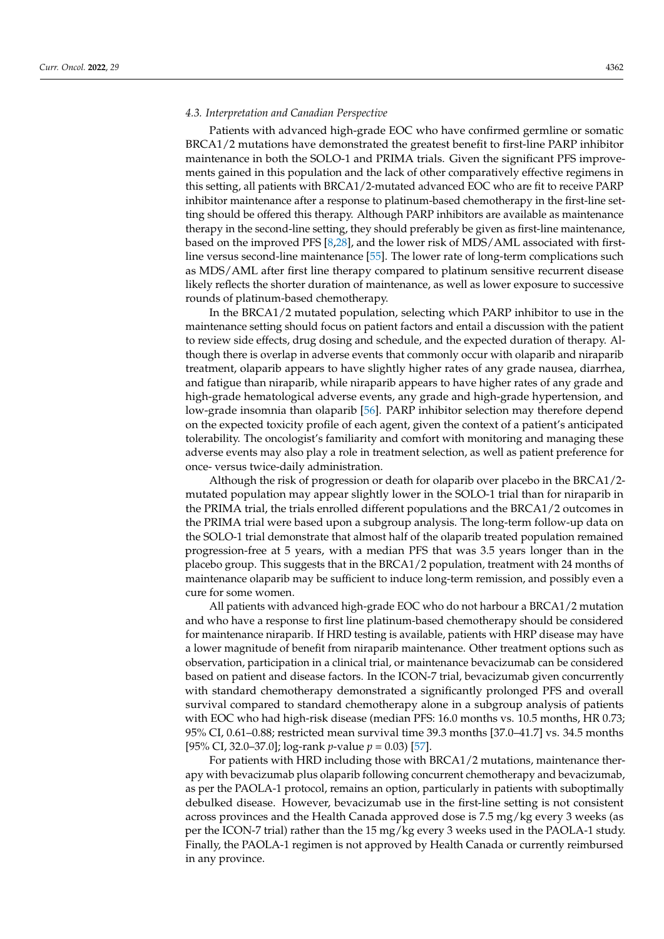## *4.3. Interpretation and Canadian Perspective*

Patients with advanced high-grade EOC who have confirmed germline or somatic BRCA1/2 mutations have demonstrated the greatest benefit to first-line PARP inhibitor maintenance in both the SOLO-1 and PRIMA trials. Given the significant PFS improvements gained in this population and the lack of other comparatively effective regimens in this setting, all patients with BRCA1/2-mutated advanced EOC who are fit to receive PARP inhibitor maintenance after a response to platinum-based chemotherapy in the first-line setting should be offered this therapy. Although PARP inhibitors are available as maintenance therapy in the second-line setting, they should preferably be given as first-line maintenance, based on the improved PFS [\[8](#page-12-7)[,28\]](#page-13-18), and the lower risk of MDS/AML associated with firstline versus second-line maintenance [\[55\]](#page-14-11). The lower rate of long-term complications such as MDS/AML after first line therapy compared to platinum sensitive recurrent disease likely reflects the shorter duration of maintenance, as well as lower exposure to successive rounds of platinum-based chemotherapy.

In the BRCA1/2 mutated population, selecting which PARP inhibitor to use in the maintenance setting should focus on patient factors and entail a discussion with the patient to review side effects, drug dosing and schedule, and the expected duration of therapy. Although there is overlap in adverse events that commonly occur with olaparib and niraparib treatment, olaparib appears to have slightly higher rates of any grade nausea, diarrhea, and fatigue than niraparib, while niraparib appears to have higher rates of any grade and high-grade hematological adverse events, any grade and high-grade hypertension, and low-grade insomnia than olaparib [\[56\]](#page-14-12). PARP inhibitor selection may therefore depend on the expected toxicity profile of each agent, given the context of a patient's anticipated tolerability. The oncologist's familiarity and comfort with monitoring and managing these adverse events may also play a role in treatment selection, as well as patient preference for once- versus twice-daily administration.

Although the risk of progression or death for olaparib over placebo in the BRCA1/2 mutated population may appear slightly lower in the SOLO-1 trial than for niraparib in the PRIMA trial, the trials enrolled different populations and the BRCA1/2 outcomes in the PRIMA trial were based upon a subgroup analysis. The long-term follow-up data on the SOLO-1 trial demonstrate that almost half of the olaparib treated population remained progression-free at 5 years, with a median PFS that was 3.5 years longer than in the placebo group. This suggests that in the BRCA1/2 population, treatment with 24 months of maintenance olaparib may be sufficient to induce long-term remission, and possibly even a cure for some women.

All patients with advanced high-grade EOC who do not harbour a BRCA1/2 mutation and who have a response to first line platinum-based chemotherapy should be considered for maintenance niraparib. If HRD testing is available, patients with HRP disease may have a lower magnitude of benefit from niraparib maintenance. Other treatment options such as observation, participation in a clinical trial, or maintenance bevacizumab can be considered based on patient and disease factors. In the ICON-7 trial, bevacizumab given concurrently with standard chemotherapy demonstrated a significantly prolonged PFS and overall survival compared to standard chemotherapy alone in a subgroup analysis of patients with EOC who had high-risk disease (median PFS: 16.0 months vs. 10.5 months, HR 0.73; 95% CI, 0.61–0.88; restricted mean survival time 39.3 months [37.0–41.7] vs. 34.5 months [95% CI, 32.0–37.0]; log-rank *p*-value *p* = 0.03) [\[57\]](#page-14-13).

For patients with HRD including those with BRCA1/2 mutations, maintenance therapy with bevacizumab plus olaparib following concurrent chemotherapy and bevacizumab, as per the PAOLA-1 protocol, remains an option, particularly in patients with suboptimally debulked disease. However, bevacizumab use in the first-line setting is not consistent across provinces and the Health Canada approved dose is 7.5 mg/kg every 3 weeks (as per the ICON-7 trial) rather than the 15 mg/kg every 3 weeks used in the PAOLA-1 study. Finally, the PAOLA-1 regimen is not approved by Health Canada or currently reimbursed in any province.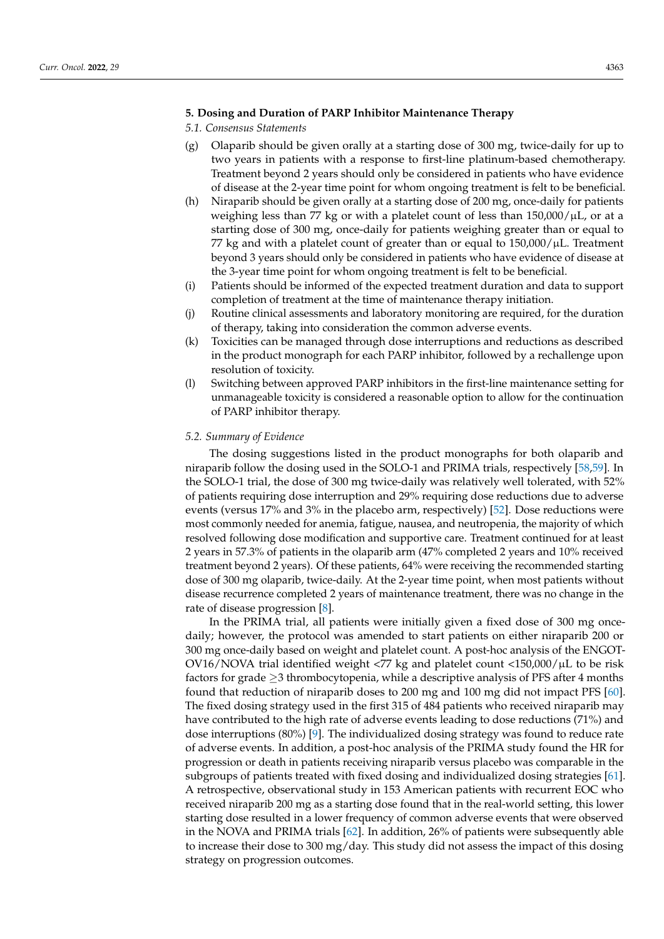## **5. Dosing and Duration of PARP Inhibitor Maintenance Therapy**

*5.1. Consensus Statements*

- (g) Olaparib should be given orally at a starting dose of 300 mg, twice-daily for up to two years in patients with a response to first-line platinum-based chemotherapy. Treatment beyond 2 years should only be considered in patients who have evidence of disease at the 2-year time point for whom ongoing treatment is felt to be beneficial.
- (h) Niraparib should be given orally at a starting dose of 200 mg, once-daily for patients weighing less than 77 kg or with a platelet count of less than  $150,000/\mu L$ , or at a starting dose of 300 mg, once-daily for patients weighing greater than or equal to 77 kg and with a platelet count of greater than or equal to  $150,000/\mu L$ . Treatment beyond 3 years should only be considered in patients who have evidence of disease at the 3-year time point for whom ongoing treatment is felt to be beneficial.
- (i) Patients should be informed of the expected treatment duration and data to support completion of treatment at the time of maintenance therapy initiation.
- (j) Routine clinical assessments and laboratory monitoring are required, for the duration of therapy, taking into consideration the common adverse events.
- (k) Toxicities can be managed through dose interruptions and reductions as described in the product monograph for each PARP inhibitor, followed by a rechallenge upon resolution of toxicity.
- (l) Switching between approved PARP inhibitors in the first-line maintenance setting for unmanageable toxicity is considered a reasonable option to allow for the continuation of PARP inhibitor therapy.

## *5.2. Summary of Evidence*

The dosing suggestions listed in the product monographs for both olaparib and niraparib follow the dosing used in the SOLO-1 and PRIMA trials, respectively [\[58](#page-14-14)[,59\]](#page-14-15). In the SOLO-1 trial, the dose of 300 mg twice-daily was relatively well tolerated, with 52% of patients requiring dose interruption and 29% requiring dose reductions due to adverse events (versus 17% and 3% in the placebo arm, respectively) [\[52\]](#page-14-8). Dose reductions were most commonly needed for anemia, fatigue, nausea, and neutropenia, the majority of which resolved following dose modification and supportive care. Treatment continued for at least 2 years in 57.3% of patients in the olaparib arm (47% completed 2 years and 10% received treatment beyond 2 years). Of these patients, 64% were receiving the recommended starting dose of 300 mg olaparib, twice-daily. At the 2-year time point, when most patients without disease recurrence completed 2 years of maintenance treatment, there was no change in the rate of disease progression [\[8\]](#page-12-7).

In the PRIMA trial, all patients were initially given a fixed dose of 300 mg oncedaily; however, the protocol was amended to start patients on either niraparib 200 or 300 mg once-daily based on weight and platelet count. A post-hoc analysis of the ENGOT-OV16/NOVA trial identified weight <77 kg and platelet count <150,000/ $\mu$ L to be risk factors for grade  $\geq$ 3 thrombocytopenia, while a descriptive analysis of PFS after 4 months found that reduction of niraparib doses to 200 mg and 100 mg did not impact PFS [\[60\]](#page-14-16). The fixed dosing strategy used in the first 315 of 484 patients who received niraparib may have contributed to the high rate of adverse events leading to dose reductions (71%) and dose interruptions (80%) [\[9\]](#page-12-8). The individualized dosing strategy was found to reduce rate of adverse events. In addition, a post-hoc analysis of the PRIMA study found the HR for progression or death in patients receiving niraparib versus placebo was comparable in the subgroups of patients treated with fixed dosing and individualized dosing strategies [\[61\]](#page-14-17). A retrospective, observational study in 153 American patients with recurrent EOC who received niraparib 200 mg as a starting dose found that in the real-world setting, this lower starting dose resulted in a lower frequency of common adverse events that were observed in the NOVA and PRIMA trials [\[62\]](#page-14-18). In addition, 26% of patients were subsequently able to increase their dose to 300 mg/day. This study did not assess the impact of this dosing strategy on progression outcomes.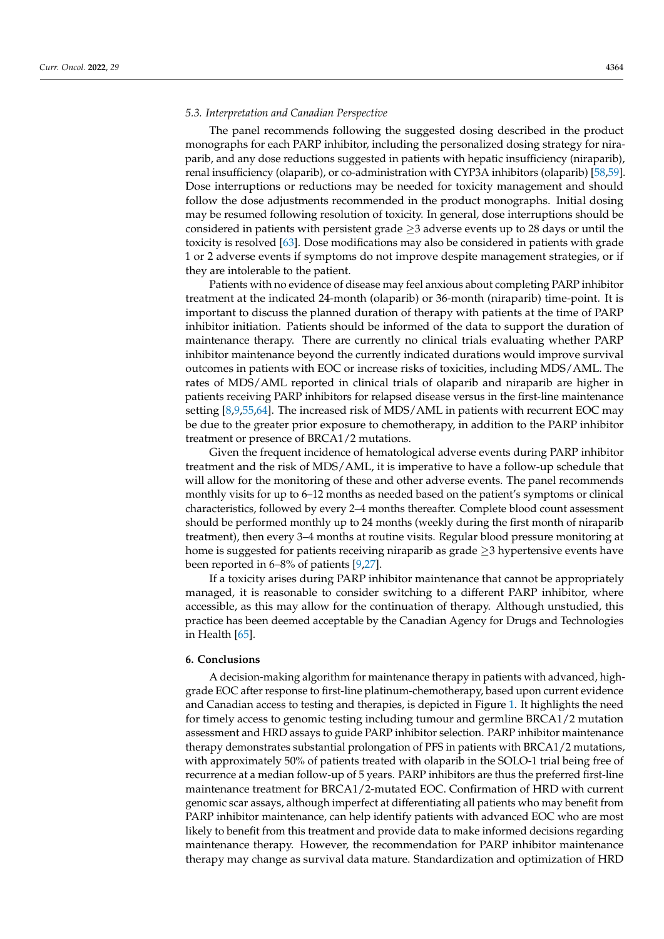## *5.3. Interpretation and Canadian Perspective*

The panel recommends following the suggested dosing described in the product monographs for each PARP inhibitor, including the personalized dosing strategy for niraparib, and any dose reductions suggested in patients with hepatic insufficiency (niraparib), renal insufficiency (olaparib), or co-administration with CYP3A inhibitors (olaparib) [\[58](#page-14-14)[,59\]](#page-14-15). Dose interruptions or reductions may be needed for toxicity management and should follow the dose adjustments recommended in the product monographs. Initial dosing may be resumed following resolution of toxicity. In general, dose interruptions should be considered in patients with persistent grade  $\geq$ 3 adverse events up to 28 days or until the toxicity is resolved [\[63\]](#page-14-19). Dose modifications may also be considered in patients with grade 1 or 2 adverse events if symptoms do not improve despite management strategies, or if they are intolerable to the patient.

Patients with no evidence of disease may feel anxious about completing PARP inhibitor treatment at the indicated 24-month (olaparib) or 36-month (niraparib) time-point. It is important to discuss the planned duration of therapy with patients at the time of PARP inhibitor initiation. Patients should be informed of the data to support the duration of maintenance therapy. There are currently no clinical trials evaluating whether PARP inhibitor maintenance beyond the currently indicated durations would improve survival outcomes in patients with EOC or increase risks of toxicities, including MDS/AML. The rates of MDS/AML reported in clinical trials of olaparib and niraparib are higher in patients receiving PARP inhibitors for relapsed disease versus in the first-line maintenance setting [\[8,](#page-12-7)[9,](#page-12-8)[55,](#page-14-11)[64\]](#page-15-0). The increased risk of MDS/AML in patients with recurrent EOC may be due to the greater prior exposure to chemotherapy, in addition to the PARP inhibitor treatment or presence of BRCA1/2 mutations.

Given the frequent incidence of hematological adverse events during PARP inhibitor treatment and the risk of MDS/AML, it is imperative to have a follow-up schedule that will allow for the monitoring of these and other adverse events. The panel recommends monthly visits for up to 6–12 months as needed based on the patient's symptoms or clinical characteristics, followed by every 2–4 months thereafter. Complete blood count assessment should be performed monthly up to 24 months (weekly during the first month of niraparib treatment), then every 3–4 months at routine visits. Regular blood pressure monitoring at home is suggested for patients receiving niraparib as grade  $\geq$ 3 hypertensive events have been reported in 6–8% of patients [\[9](#page-12-8)[,27\]](#page-13-16).

If a toxicity arises during PARP inhibitor maintenance that cannot be appropriately managed, it is reasonable to consider switching to a different PARP inhibitor, where accessible, as this may allow for the continuation of therapy. Although unstudied, this practice has been deemed acceptable by the Canadian Agency for Drugs and Technologies in Health [\[65\]](#page-15-1).

#### **6. Conclusions**

A decision-making algorithm for maintenance therapy in patients with advanced, highgrade EOC after response to first-line platinum-chemotherapy, based upon current evidence and Canadian access to testing and therapies, is depicted in Figure [1.](#page-11-0) It highlights the need for timely access to genomic testing including tumour and germline BRCA1/2 mutation assessment and HRD assays to guide PARP inhibitor selection. PARP inhibitor maintenance therapy demonstrates substantial prolongation of PFS in patients with BRCA1/2 mutations, with approximately 50% of patients treated with olaparib in the SOLO-1 trial being free of recurrence at a median follow-up of 5 years. PARP inhibitors are thus the preferred first-line maintenance treatment for BRCA1/2-mutated EOC. Confirmation of HRD with current genomic scar assays, although imperfect at differentiating all patients who may benefit from PARP inhibitor maintenance, can help identify patients with advanced EOC who are most likely to benefit from this treatment and provide data to make informed decisions regarding maintenance therapy. However, the recommendation for PARP inhibitor maintenance therapy may change as survival data mature. Standardization and optimization of HRD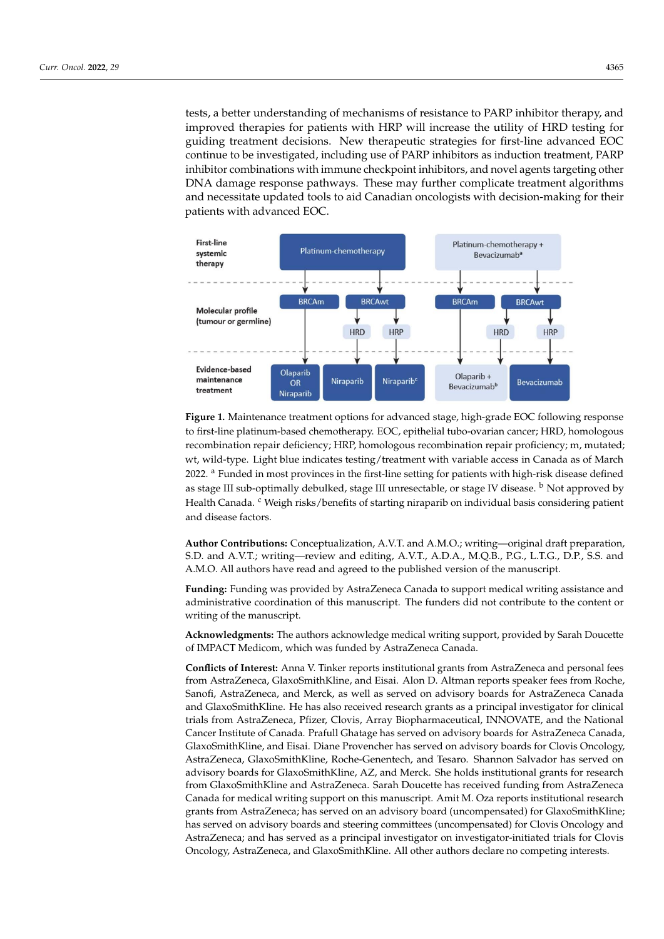tests, a better understanding of mechanisms of resistance to PARP inhibitor therapy, and improved therapies for patients with HRP will increase the utility of HRD testing for <sup>1</sup><br>guiding treatment decisions. New therapeutic strategies for first-line advanced EOC continue to be investigated, including use of PARP inhibitors as induction treatment, PARP inhibitor combinations with immune checkpoint inhibitors, and novel agents targeting other DNA damage response pathways. These may further complicate treatment algorithms and necessitate updated tools to aid Canadian oncologists with decision-making for their patients with advanced EOC. **EXECUTE:** with a straight straight for the intervals with a straight straight straight straight straight straight straight straight straight straight straight straight straight straight straigh

to make informed decisions regarding maintenance therapy. However, the recommenda-

<span id="page-11-0"></span>

**Figure 1.** Maintenance treatment options for advanced stage, high-grade EOC following response **Figure 1.** Maintenance treatment options for advanced stage, high-grade EOC following response to first-line platinum-based chemotherapy. EOC, epithelial tubo-ovarian cancer; HRD, homologous to first-line platinum-based chemotherapy. EOC, epithelial tubo-ovarian cancer; HRD, homologous recombination repair deficiency; HRP, homologous recombination repair proficiency; m, mutated; recombination repair deficiency; HRP, homologous recombination repair proficiency; m, mutated; wt, wild-type. Light blue indicates testing/treatment with variable access in Canada as of March wt, wild-type. Light blue indicates testing/treatment with variable access in Canada as of March 2022. <sup>a</sup> Funded in most provinces in the first-line setting for patients with high-risk disease defined as stage III sub-optimally debulked, stage III unresectable, or stage IV disease.  $^{\rm b}$  Not approved by Health Canada. <sup>c</sup> Weigh risks/benefits of starting niraparib on individual basis considering patient and disease factors. and disease factors.

**Author Contributions:** Conceptualization, A.V.T. and A.M.O.; writing—original draft preparation, **Author Contributions:** Conceptualization, A.V.T. and A.M.O.; writing—original draft preparation, S.D. and A.V.T.; writing—review and editing, A.V.T., A.D.A., M.Q.B., P.G., L.T.G., D.P., S.S. and S.D. and A.V.T.; writing—review and editing, A.V.T., A.D.A., M.Q.B., P.G., L.T.G., D.P., S.S. and A.M.O. All authors have read and agreed to the published version of the manuscript. A.M.O. All authors have read and agreed to the published version of the manuscript.

**Funding:** Funding was provided by AstraZeneca Canada to support medical writing assistance and administrative coordination of this manuscript. The funders did not contribute to the content or writing of the manuscript.

**Acknowledgments:** The authors acknowledge medical writing support, provided by Sarah Doucette of IMPACT Medicom, which was funded by AstraZeneca Canada.

**Conflicts of Interest:** Anna V. Tinker reports institutional grants from AstraZeneca and personal fees from AstraZeneca, GlaxoSmithKline, and Eisai. Alon D. Altman reports speaker fees from Roche, Sanofi, AstraZeneca, and Merck, as well as served on advisory boards for AstraZeneca Canada and GlaxoSmithKline. He has also received research grants as a principal investigator for clinical trials from AstraZeneca, Pfizer, Clovis, Array Biopharmaceutical, INNOVATE, and the National Cancer Institute of Canada. Prafull Ghatage has served on advisory boards for AstraZeneca Canada, GlaxoSmithKline, and Eisai. Diane Provencher has served on advisory boards for Clovis Oncology, AstraZeneca, GlaxoSmithKline, Roche-Genentech, and Tesaro. Shannon Salvador has served on advisory boards for GlaxoSmithKline, AZ, and Merck. She holds institutional grants for research from GlaxoSmithKline and AstraZeneca. Sarah Doucette has received funding from AstraZeneca Canada for medical writing support on this manuscript. Amit M. Oza reports institutional research grants from AstraZeneca; has served on an advisory board (uncompensated) for GlaxoSmithKline; has served on advisory boards and steering committees (uncompensated) for Clovis Oncology and AstraZeneca; and has served as a principal investigator on investigator-initiated trials for Clovis Oncology, AstraZeneca, and GlaxoSmithKline. All other authors declare no competing interests.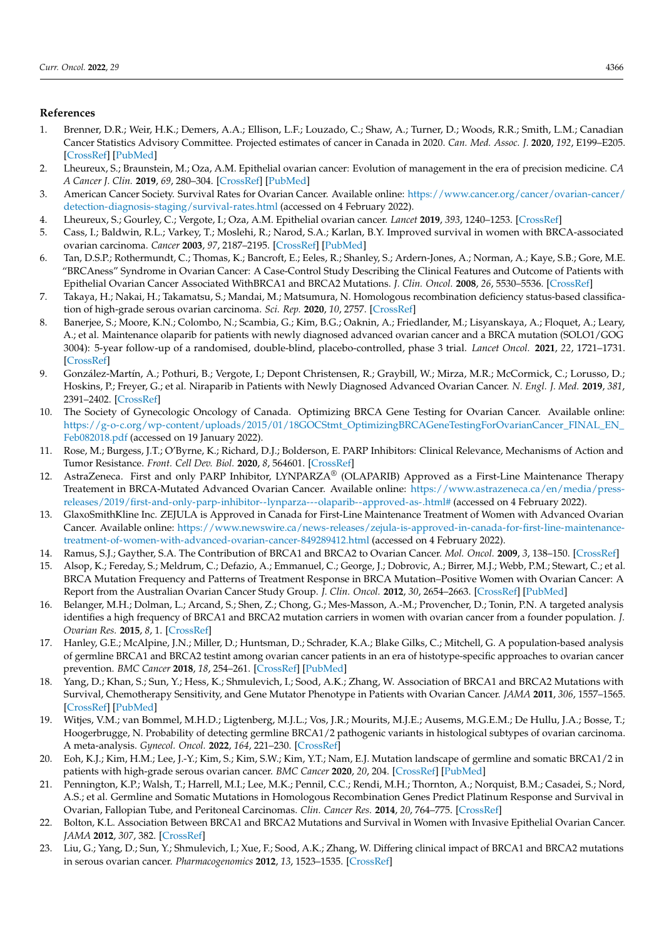## **References**

- <span id="page-12-0"></span>1. Brenner, D.R.; Weir, H.K.; Demers, A.A.; Ellison, L.F.; Louzado, C.; Shaw, A.; Turner, D.; Woods, R.R.; Smith, L.M.; Canadian Cancer Statistics Advisory Committee. Projected estimates of cancer in Canada in 2020. *Can. Med. Assoc. J.* **2020**, *192*, E199–E205. [\[CrossRef\]](http://doi.org/10.1503/cmaj.191292) [\[PubMed\]](http://www.ncbi.nlm.nih.gov/pubmed/32122974)
- <span id="page-12-1"></span>2. Lheureux, S.; Braunstein, M.; Oza, A.M. Epithelial ovarian cancer: Evolution of management in the era of precision medicine. *CA A Cancer J. Clin.* **2019**, *69*, 280–304. [\[CrossRef\]](http://doi.org/10.3322/caac.21559) [\[PubMed\]](http://www.ncbi.nlm.nih.gov/pubmed/31099893)
- <span id="page-12-2"></span>3. American Cancer Society. Survival Rates for Ovarian Cancer. Available online: [https://www.cancer.org/cancer/ovarian-cancer/](https://www.cancer.org/cancer/ovarian-cancer/detection-diagnosis-staging/survival-rates.html) [detection-diagnosis-staging/survival-rates.html](https://www.cancer.org/cancer/ovarian-cancer/detection-diagnosis-staging/survival-rates.html) (accessed on 4 February 2022).
- <span id="page-12-3"></span>4. Lheureux, S.; Gourley, C.; Vergote, I.; Oza, A.M. Epithelial ovarian cancer. *Lancet* **2019**, *393*, 1240–1253. [\[CrossRef\]](http://doi.org/10.1016/S0140-6736(18)32552-2)
- <span id="page-12-4"></span>5. Cass, I.; Baldwin, R.L.; Varkey, T.; Moslehi, R.; Narod, S.A.; Karlan, B.Y. Improved survival in women with BRCA-associated ovarian carcinoma. *Cancer* **2003**, *97*, 2187–2195. [\[CrossRef\]](http://doi.org/10.1002/cncr.11310) [\[PubMed\]](http://www.ncbi.nlm.nih.gov/pubmed/12712470)
- <span id="page-12-5"></span>6. Tan, D.S.P.; Rothermundt, C.; Thomas, K.; Bancroft, E.; Eeles, R.; Shanley, S.; Ardern-Jones, A.; Norman, A.; Kaye, S.B.; Gore, M.E. "BRCAness" Syndrome in Ovarian Cancer: A Case-Control Study Describing the Clinical Features and Outcome of Patients with Epithelial Ovarian Cancer Associated WithBRCA1 and BRCA2 Mutations. *J. Clin. Oncol.* **2008**, *26*, 5530–5536. [\[CrossRef\]](http://doi.org/10.1200/JCO.2008.16.1703)
- <span id="page-12-6"></span>7. Takaya, H.; Nakai, H.; Takamatsu, S.; Mandai, M.; Matsumura, N. Homologous recombination deficiency status-based classification of high-grade serous ovarian carcinoma. *Sci. Rep.* **2020**, *10*, 2757. [\[CrossRef\]](http://doi.org/10.1038/s41598-020-59671-3)
- <span id="page-12-7"></span>8. Banerjee, S.; Moore, K.N.; Colombo, N.; Scambia, G.; Kim, B.G.; Oaknin, A.; Friedlander, M.; Lisyanskaya, A.; Floquet, A.; Leary, A.; et al. Maintenance olaparib for patients with newly diagnosed advanced ovarian cancer and a BRCA mutation (SOLO1/GOG 3004): 5-year follow-up of a randomised, double-blind, placebo-controlled, phase 3 trial. *Lancet Oncol.* **2021**, *22*, 1721–1731. [\[CrossRef\]](http://doi.org/10.1016/S1470-2045(21)00531-3)
- <span id="page-12-8"></span>9. González-Martín, A.; Pothuri, B.; Vergote, I.; Depont Christensen, R.; Graybill, W.; Mirza, M.R.; McCormick, C.; Lorusso, D.; Hoskins, P.; Freyer, G.; et al. Niraparib in Patients with Newly Diagnosed Advanced Ovarian Cancer. *N. Engl. J. Med.* **2019**, *381*, 2391–2402. [\[CrossRef\]](http://doi.org/10.1056/NEJMoa1910962)
- <span id="page-12-9"></span>10. The Society of Gynecologic Oncology of Canada. Optimizing BRCA Gene Testing for Ovarian Cancer. Available online: [https://g-o-c.org/wp-content/uploads/2015/01/18GOCStmt\\_OptimizingBRCAGeneTestingForOvarianCancer\\_FINAL\\_EN\\_](https://g-o-c.org/wp-content/uploads/2015/01/18GOCStmt_OptimizingBRCAGeneTestingForOvarianCancer_FINAL_EN_Feb082018.pdf) [Feb082018.pdf](https://g-o-c.org/wp-content/uploads/2015/01/18GOCStmt_OptimizingBRCAGeneTestingForOvarianCancer_FINAL_EN_Feb082018.pdf) (accessed on 19 January 2022).
- <span id="page-12-10"></span>11. Rose, M.; Burgess, J.T.; O'Byrne, K.; Richard, D.J.; Bolderson, E. PARP Inhibitors: Clinical Relevance, Mechanisms of Action and Tumor Resistance. *Front. Cell Dev. Biol.* **2020**, *8*, 564601. [\[CrossRef\]](http://doi.org/10.3389/fcell.2020.564601)
- <span id="page-12-11"></span>12. AstraZeneca. First and only PARP Inhibitor, LYNPARZA® (OLAPARIB) Approved as a First-Line Maintenance Therapy Treatement in BRCA-Mutated Advanced Ovarian Cancer. Available online: [https://www.astrazeneca.ca/en/media/press](https://www.astrazeneca.ca/en/media/press-releases/2019/first-and-only-parp-inhibitor--lynparza---olaparib--approved-as-.html#)[releases/2019/first-and-only-parp-inhibitor--lynparza---olaparib--approved-as-.html#](https://www.astrazeneca.ca/en/media/press-releases/2019/first-and-only-parp-inhibitor--lynparza---olaparib--approved-as-.html#) (accessed on 4 February 2022).
- <span id="page-12-12"></span>13. GlaxoSmithKline Inc. ZEJULA is Approved in Canada for First-Line Maintenance Treatment of Women with Advanced Ovarian Cancer. Available online: [https://www.newswire.ca/news-releases/zejula-is-approved-in-canada-for-first-line-maintenance](https://www.newswire.ca/news-releases/zejula-is-approved-in-canada-for-first-line-maintenance-treatment-of-women-with-advanced-ovarian-cancer-849289412.html)[treatment-of-women-with-advanced-ovarian-cancer-849289412.html](https://www.newswire.ca/news-releases/zejula-is-approved-in-canada-for-first-line-maintenance-treatment-of-women-with-advanced-ovarian-cancer-849289412.html) (accessed on 4 February 2022).
- <span id="page-12-13"></span>14. Ramus, S.J.; Gayther, S.A. The Contribution of BRCA1 and BRCA2 to Ovarian Cancer. *Mol. Oncol.* **2009**, *3*, 138–150. [\[CrossRef\]](http://doi.org/10.1016/j.molonc.2009.02.001)
- <span id="page-12-15"></span>15. Alsop, K.; Fereday, S.; Meldrum, C.; Defazio, A.; Emmanuel, C.; George, J.; Dobrovic, A.; Birrer, M.J.; Webb, P.M.; Stewart, C.; et al. BRCA Mutation Frequency and Patterns of Treatment Response in BRCA Mutation–Positive Women with Ovarian Cancer: A Report from the Australian Ovarian Cancer Study Group. *J. Clin. Oncol.* **2012**, *30*, 2654–2663. [\[CrossRef\]](http://doi.org/10.1200/JCO.2011.39.8545) [\[PubMed\]](http://www.ncbi.nlm.nih.gov/pubmed/22711857)
- 16. Belanger, M.H.; Dolman, L.; Arcand, S.; Shen, Z.; Chong, G.; Mes-Masson, A.-M.; Provencher, D.; Tonin, P.N. A targeted analysis identifies a high frequency of BRCA1 and BRCA2 mutation carriers in women with ovarian cancer from a founder population. *J. Ovarian Res.* **2015**, *8*, 1. [\[CrossRef\]](http://doi.org/10.1186/s13048-015-0124-8)
- 17. Hanley, G.E.; McAlpine, J.N.; Miller, D.; Huntsman, D.; Schrader, K.A.; Blake Gilks, C.; Mitchell, G. A population-based analysis of germline BRCA1 and BRCA2 testint among ovarian cancer patients in an era of histotype-specific approaches to ovarian cancer prevention. *BMC Cancer* **2018**, *18*, 254–261. [\[CrossRef\]](http://doi.org/10.1186/s12885-018-4153-8) [\[PubMed\]](http://www.ncbi.nlm.nih.gov/pubmed/29506471)
- <span id="page-12-18"></span>18. Yang, D.; Khan, S.; Sun, Y.; Hess, K.; Shmulevich, I.; Sood, A.K.; Zhang, W. Association of BRCA1 and BRCA2 Mutations with Survival, Chemotherapy Sensitivity, and Gene Mutator Phenotype in Patients with Ovarian Cancer. *JAMA* **2011**, *306*, 1557–1565. [\[CrossRef\]](http://doi.org/10.1001/jama.2011.1456) [\[PubMed\]](http://www.ncbi.nlm.nih.gov/pubmed/21990299)
- <span id="page-12-14"></span>19. Witjes, V.M.; van Bommel, M.H.D.; Ligtenberg, M.J.L.; Vos, J.R.; Mourits, M.J.E.; Ausems, M.G.E.M.; De Hullu, J.A.; Bosse, T.; Hoogerbrugge, N. Probability of detecting germline BRCA1/2 pathogenic variants in histological subtypes of ovarian carcinoma. A meta-analysis. *Gynecol. Oncol.* **2022**, *164*, 221–230. [\[CrossRef\]](http://doi.org/10.1016/j.ygyno.2021.10.072)
- <span id="page-12-16"></span>20. Eoh, K.J.; Kim, H.M.; Lee, J.-Y.; Kim, S.; Kim, S.W.; Kim, Y.T.; Nam, E.J. Mutation landscape of germline and somatic BRCA1/2 in patients with high-grade serous ovarian cancer. *BMC Cancer* **2020**, *20*, 204. [\[CrossRef\]](http://doi.org/10.1186/s12885-020-6693-y) [\[PubMed\]](http://www.ncbi.nlm.nih.gov/pubmed/32164585)
- <span id="page-12-17"></span>21. Pennington, K.P.; Walsh, T.; Harrell, M.I.; Lee, M.K.; Pennil, C.C.; Rendi, M.H.; Thornton, A.; Norquist, B.M.; Casadei, S.; Nord, A.S.; et al. Germline and Somatic Mutations in Homologous Recombination Genes Predict Platinum Response and Survival in Ovarian, Fallopian Tube, and Peritoneal Carcinomas. *Clin. Cancer Res.* **2014**, *20*, 764–775. [\[CrossRef\]](http://doi.org/10.1158/1078-0432.CCR-13-2287)
- <span id="page-12-19"></span>22. Bolton, K.L. Association Between BRCA1 and BRCA2 Mutations and Survival in Women with Invasive Epithelial Ovarian Cancer. *JAMA* **2012**, *307*, 382. [\[CrossRef\]](http://doi.org/10.1001/jama.2012.20)
- 23. Liu, G.; Yang, D.; Sun, Y.; Shmulevich, I.; Xue, F.; Sood, A.K.; Zhang, W. Differing clinical impact of BRCA1 and BRCA2 mutations in serous ovarian cancer. *Pharmacogenomics* **2012**, *13*, 1523–1535. [\[CrossRef\]](http://doi.org/10.2217/pgs.12.137)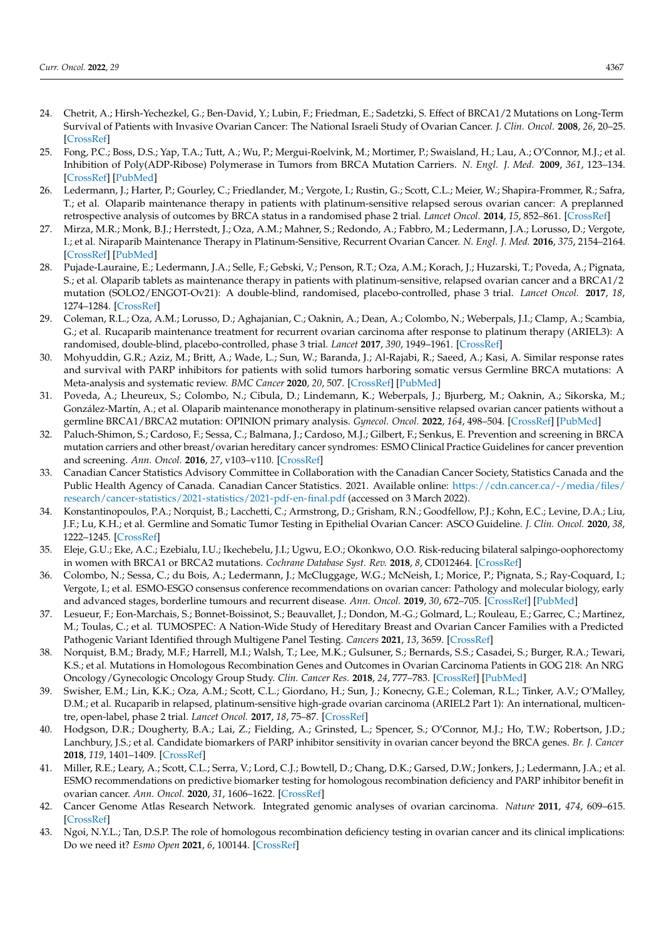- <span id="page-13-0"></span>24. Chetrit, A.; Hirsh-Yechezkel, G.; Ben-David, Y.; Lubin, F.; Friedman, E.; Sadetzki, S. Effect of BRCA1/2 Mutations on Long-Term Survival of Patients with Invasive Ovarian Cancer: The National Israeli Study of Ovarian Cancer. *J. Clin. Oncol.* **2008**, *26*, 20–25. [\[CrossRef\]](http://doi.org/10.1200/JCO.2007.11.6905)
- <span id="page-13-1"></span>25. Fong, P.C.; Boss, D.S.; Yap, T.A.; Tutt, A.; Wu, P.; Mergui-Roelvink, M.; Mortimer, P.; Swaisland, H.; Lau, A.; O'Connor, M.J.; et al. Inhibition of Poly(ADP-Ribose) Polymerase in Tumors from BRCA Mutation Carriers. *N. Engl. J. Med.* **2009**, *361*, 123–134. [\[CrossRef\]](http://doi.org/10.1056/NEJMoa0900212) [\[PubMed\]](http://www.ncbi.nlm.nih.gov/pubmed/19553641)
- 26. Ledermann, J.; Harter, P.; Gourley, C.; Friedlander, M.; Vergote, I.; Rustin, G.; Scott, C.L.; Meier, W.; Shapira-Frommer, R.; Safra, T.; et al. Olaparib maintenance therapy in patients with platinum-sensitive relapsed serous ovarian cancer: A preplanned retrospective analysis of outcomes by BRCA status in a randomised phase 2 trial. *Lancet Oncol.* **2014**, *15*, 852–861. [\[CrossRef\]](http://doi.org/10.1016/S1470-2045(14)70228-1)
- <span id="page-13-16"></span>27. Mirza, M.R.; Monk, B.J.; Herrstedt, J.; Oza, A.M.; Mahner, S.; Redondo, A.; Fabbro, M.; Ledermann, J.A.; Lorusso, D.; Vergote, I.; et al. Niraparib Maintenance Therapy in Platinum-Sensitive, Recurrent Ovarian Cancer. *N. Engl. J. Med.* **2016**, *375*, 2154–2164. [\[CrossRef\]](http://doi.org/10.1056/NEJMoa1611310) [\[PubMed\]](http://www.ncbi.nlm.nih.gov/pubmed/27717299)
- <span id="page-13-18"></span>28. Pujade-Lauraine, E.; Ledermann, J.A.; Selle, F.; Gebski, V.; Penson, R.T.; Oza, A.M.; Korach, J.; Huzarski, T.; Poveda, A.; Pignata, S.; et al. Olaparib tablets as maintenance therapy in patients with platinum-sensitive, relapsed ovarian cancer and a BRCA1/2 mutation (SOLO2/ENGOT-Ov21): A double-blind, randomised, placebo-controlled, phase 3 trial. *Lancet Oncol.* **2017**, *18*, 1274–1284. [\[CrossRef\]](http://doi.org/10.1016/S1470-2045(17)30469-2)
- <span id="page-13-2"></span>29. Coleman, R.L.; Oza, A.M.; Lorusso, D.; Aghajanian, C.; Oaknin, A.; Dean, A.; Colombo, N.; Weberpals, J.I.; Clamp, A.; Scambia, G.; et al. Rucaparib maintenance treatment for recurrent ovarian carcinoma after response to platinum therapy (ARIEL3): A randomised, double-blind, placebo-controlled, phase 3 trial. *Lancet* **2017**, *390*, 1949–1961. [\[CrossRef\]](http://doi.org/10.1016/S0140-6736(17)32440-6)
- <span id="page-13-3"></span>30. Mohyuddin, G.R.; Aziz, M.; Britt, A.; Wade, L.; Sun, W.; Baranda, J.; Al-Rajabi, R.; Saeed, A.; Kasi, A. Similar response rates and survival with PARP inhibitors for patients with solid tumors harboring somatic versus Germline BRCA mutations: A Meta-analysis and systematic review. *BMC Cancer* **2020**, *20*, 507. [\[CrossRef\]](http://doi.org/10.1186/s12885-020-06948-5) [\[PubMed\]](http://www.ncbi.nlm.nih.gov/pubmed/32493233)
- <span id="page-13-4"></span>31. Poveda, A.; Lheureux, S.; Colombo, N.; Cibula, D.; Lindemann, K.; Weberpals, J.; Bjurberg, M.; Oaknin, A.; Sikorska, M.; González-Martín, A.; et al. Olaparib maintenance monotherapy in platinum-sensitive relapsed ovarian cancer patients without a germline BRCA1/BRCA2 mutation: OPINION primary analysis. *Gynecol. Oncol.* **2022**, *164*, 498–504. [\[CrossRef\]](http://doi.org/10.1016/j.ygyno.2021.12.025) [\[PubMed\]](http://www.ncbi.nlm.nih.gov/pubmed/35063276)
- <span id="page-13-5"></span>32. Paluch-Shimon, S.; Cardoso, F.; Sessa, C.; Balmana, J.; Cardoso, M.J.; Gilbert, F.; Senkus, E. Prevention and screening in BRCA mutation carriers and other breast/ovarian hereditary cancer syndromes: ESMO Clinical Practice Guidelines for cancer prevention and screening. *Ann. Oncol.* **2016**, *27*, v103–v110. [\[CrossRef\]](http://doi.org/10.1093/annonc/mdw327)
- <span id="page-13-6"></span>33. Canadian Cancer Statistics Advisory Committee in Collaboration with the Canadian Cancer Society, Statistics Canada and the Public Health Agency of Canada. Canadian Cancer Statistics. 2021. Available online: [https://cdn.cancer.ca/-/media/files/](https://cdn.cancer.ca/-/media/files/research/cancer-statistics/2021-statistics/2021-pdf-en-final.pdf) [research/cancer-statistics/2021-statistics/2021-pdf-en-final.pdf](https://cdn.cancer.ca/-/media/files/research/cancer-statistics/2021-statistics/2021-pdf-en-final.pdf) (accessed on 3 March 2022).
- <span id="page-13-7"></span>34. Konstantinopoulos, P.A.; Norquist, B.; Lacchetti, C.; Armstrong, D.; Grisham, R.N.; Goodfellow, P.J.; Kohn, E.C.; Levine, D.A.; Liu, J.F.; Lu, K.H.; et al. Germline and Somatic Tumor Testing in Epithelial Ovarian Cancer: ASCO Guideline. *J. Clin. Oncol.* **2020**, *38*, 1222–1245. [\[CrossRef\]](http://doi.org/10.1200/JCO.19.02960)
- <span id="page-13-8"></span>35. Eleje, G.U.; Eke, A.C.; Ezebialu, I.U.; Ikechebelu, J.I.; Ugwu, E.O.; Okonkwo, O.O. Risk-reducing bilateral salpingo-oophorectomy in women with BRCA1 or BRCA2 mutations. *Cochrane Database Syst. Rev.* **2018**, *8*, CD012464. [\[CrossRef\]](http://doi.org/10.1002/14651858.CD012464.pub2)
- <span id="page-13-9"></span>36. Colombo, N.; Sessa, C.; du Bois, A.; Ledermann, J.; McCluggage, W.G.; McNeish, I.; Morice, P.; Pignata, S.; Ray-Coquard, I.; Vergote, I.; et al. ESMO-ESGO consensus conference recommendations on ovarian cancer: Pathology and molecular biology, early and advanced stages, borderline tumours and recurrent disease. *Ann. Oncol.* **2019**, *30*, 672–705. [\[CrossRef\]](http://doi.org/10.1093/annonc/mdz062) [\[PubMed\]](http://www.ncbi.nlm.nih.gov/pubmed/31046081)
- <span id="page-13-10"></span>37. Lesueur, F.; Eon-Marchais, S.; Bonnet-Boissinot, S.; Beauvallet, J.; Dondon, M.-G.; Golmard, L.; Rouleau, E.; Garrec, C.; Martinez, M.; Toulas, C.; et al. TUMOSPEC: A Nation-Wide Study of Hereditary Breast and Ovarian Cancer Families with a Predicted Pathogenic Variant Identified through Multigene Panel Testing. *Cancers* **2021**, *13*, 3659. [\[CrossRef\]](http://doi.org/10.3390/cancers13153659)
- <span id="page-13-11"></span>38. Norquist, B.M.; Brady, M.F.; Harrell, M.I.; Walsh, T.; Lee, M.K.; Gulsuner, S.; Bernards, S.S.; Casadei, S.; Burger, R.A.; Tewari, K.S.; et al. Mutations in Homologous Recombination Genes and Outcomes in Ovarian Carcinoma Patients in GOG 218: An NRG Oncology/Gynecologic Oncology Group Study. *Clin. Cancer Res.* **2018**, *24*, 777–783. [\[CrossRef\]](http://doi.org/10.1158/1078-0432.CCR-17-1327) [\[PubMed\]](http://www.ncbi.nlm.nih.gov/pubmed/29191972)
- <span id="page-13-12"></span>39. Swisher, E.M.; Lin, K.K.; Oza, A.M.; Scott, C.L.; Giordano, H.; Sun, J.; Konecny, G.E.; Coleman, R.L.; Tinker, A.V.; O'Malley, D.M.; et al. Rucaparib in relapsed, platinum-sensitive high-grade ovarian carcinoma (ARIEL2 Part 1): An international, multicentre, open-label, phase 2 trial. *Lancet Oncol.* **2017**, *18*, 75–87. [\[CrossRef\]](http://doi.org/10.1016/S1470-2045(16)30559-9)
- <span id="page-13-13"></span>40. Hodgson, D.R.; Dougherty, B.A.; Lai, Z.; Fielding, A.; Grinsted, L.; Spencer, S.; O'Connor, M.J.; Ho, T.W.; Robertson, J.D.; Lanchbury, J.S.; et al. Candidate biomarkers of PARP inhibitor sensitivity in ovarian cancer beyond the BRCA genes. *Br. J. Cancer* **2018**, *119*, 1401–1409. [\[CrossRef\]](http://doi.org/10.1038/s41416-018-0274-8)
- <span id="page-13-14"></span>41. Miller, R.E.; Leary, A.; Scott, C.L.; Serra, V.; Lord, C.J.; Bowtell, D.; Chang, D.K.; Garsed, D.W.; Jonkers, J.; Ledermann, J.A.; et al. ESMO recommendations on predictive biomarker testing for homologous recombination deficiency and PARP inhibitor benefit in ovarian cancer. *Ann. Oncol.* **2020**, *31*, 1606–1622. [\[CrossRef\]](http://doi.org/10.1016/j.annonc.2020.08.2102)
- <span id="page-13-15"></span>42. Cancer Genome Atlas Research Network. Integrated genomic analyses of ovarian carcinoma. *Nature* **2011**, *474*, 609–615. [\[CrossRef\]](http://doi.org/10.1038/nature10166)
- <span id="page-13-17"></span>43. Ngoi, N.Y.L.; Tan, D.S.P. The role of homologous recombination deficiency testing in ovarian cancer and its clinical implications: Do we need it? *Esmo Open* **2021**, *6*, 100144. [\[CrossRef\]](http://doi.org/10.1016/j.esmoop.2021.100144)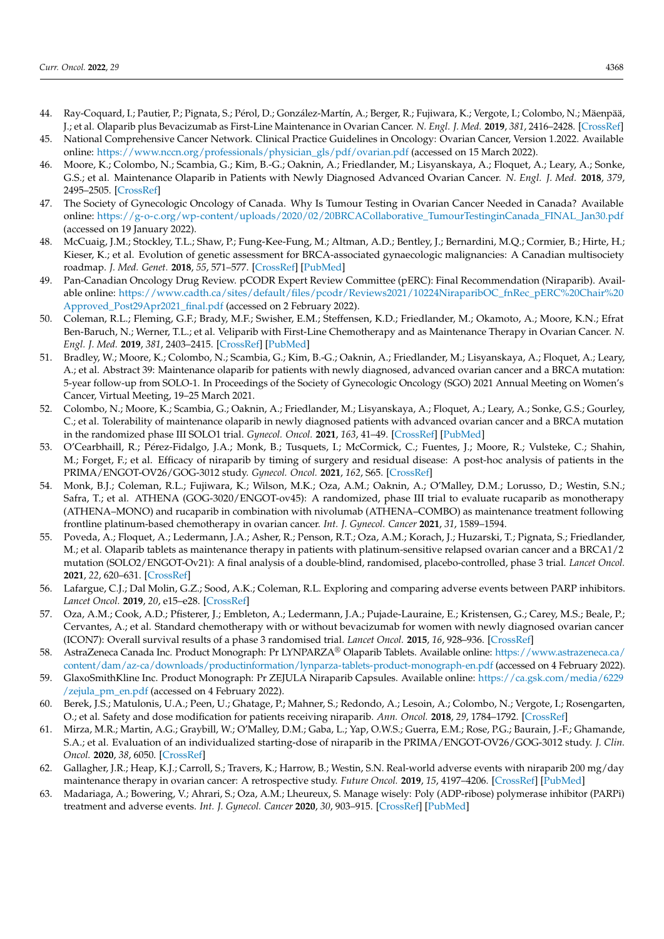- <span id="page-14-0"></span>44. Ray-Coquard, I.; Pautier, P.; Pignata, S.; Pérol, D.; González-Martín, A.; Berger, R.; Fujiwara, K.; Vergote, I.; Colombo, N.; Mäenpää, J.; et al. Olaparib plus Bevacizumab as First-Line Maintenance in Ovarian Cancer. *N. Engl. J. Med.* **2019**, *381*, 2416–2428. [\[CrossRef\]](http://doi.org/10.1056/NEJMoa1911361)
- <span id="page-14-1"></span>45. National Comprehensive Cancer Network. Clinical Practice Guidelines in Oncology: Ovarian Cancer, Version 1.2022. Available online: [https://www.nccn.org/professionals/physician\\_gls/pdf/ovarian.pdf](https://www.nccn.org/professionals/physician_gls/pdf/ovarian.pdf) (accessed on 15 March 2022).
- <span id="page-14-2"></span>46. Moore, K.; Colombo, N.; Scambia, G.; Kim, B.-G.; Oaknin, A.; Friedlander, M.; Lisyanskaya, A.; Floquet, A.; Leary, A.; Sonke, G.S.; et al. Maintenance Olaparib in Patients with Newly Diagnosed Advanced Ovarian Cancer. *N. Engl. J. Med.* **2018**, *379*, 2495–2505. [\[CrossRef\]](http://doi.org/10.1056/NEJMoa1810858)
- <span id="page-14-3"></span>47. The Society of Gynecologic Oncology of Canada. Why Is Tumour Testing in Ovarian Cancer Needed in Canada? Available online: [https://g-o-c.org/wp-content/uploads/2020/02/20BRCACollaborative\\_TumourTestinginCanada\\_FINAL\\_Jan30.pdf](https://g-o-c.org/wp-content/uploads/2020/02/20BRCACollaborative_TumourTestinginCanada_FINAL_Jan30.pdf) (accessed on 19 January 2022).
- <span id="page-14-4"></span>48. McCuaig, J.M.; Stockley, T.L.; Shaw, P.; Fung-Kee-Fung, M.; Altman, A.D.; Bentley, J.; Bernardini, M.Q.; Cormier, B.; Hirte, H.; Kieser, K.; et al. Evolution of genetic assessment for BRCA-associated gynaecologic malignancies: A Canadian multisociety roadmap. *J. Med. Genet.* **2018**, *55*, 571–577. [\[CrossRef\]](http://doi.org/10.1136/jmedgenet-2018-105472) [\[PubMed\]](http://www.ncbi.nlm.nih.gov/pubmed/30042185)
- <span id="page-14-5"></span>49. Pan-Canadian Oncology Drug Review. pCODR Expert Review Committee (pERC): Final Recommendation (Niraparib). Available online: [https://www.cadth.ca/sites/default/files/pcodr/Reviews2021/10224NiraparibOC\\_fnRec\\_pERC%20Chair%20](https://www.cadth.ca/sites/default/files/pcodr/Reviews2021/10224NiraparibOC_fnRec_pERC%20Chair%20Approved_Post29Apr2021_final.pdf) [Approved\\_Post29Apr2021\\_final.pdf](https://www.cadth.ca/sites/default/files/pcodr/Reviews2021/10224NiraparibOC_fnRec_pERC%20Chair%20Approved_Post29Apr2021_final.pdf) (accessed on 2 February 2022).
- <span id="page-14-6"></span>50. Coleman, R.L.; Fleming, G.F.; Brady, M.F.; Swisher, E.M.; Steffensen, K.D.; Friedlander, M.; Okamoto, A.; Moore, K.N.; Efrat Ben-Baruch, N.; Werner, T.L.; et al. Veliparib with First-Line Chemotherapy and as Maintenance Therapy in Ovarian Cancer. *N. Engl. J. Med.* **2019**, *381*, 2403–2415. [\[CrossRef\]](http://doi.org/10.1056/NEJMoa1909707) [\[PubMed\]](http://www.ncbi.nlm.nih.gov/pubmed/31562800)
- <span id="page-14-7"></span>51. Bradley, W.; Moore, K.; Colombo, N.; Scambia, G.; Kim, B.-G.; Oaknin, A.; Friedlander, M.; Lisyanskaya, A.; Floquet, A.; Leary, A.; et al. Abstract 39: Maintenance olaparib for patients with newly diagnosed, advanced ovarian cancer and a BRCA mutation: 5-year follow-up from SOLO-1. In Proceedings of the Society of Gynecologic Oncology (SGO) 2021 Annual Meeting on Women's Cancer, Virtual Meeting, 19–25 March 2021.
- <span id="page-14-8"></span>52. Colombo, N.; Moore, K.; Scambia, G.; Oaknin, A.; Friedlander, M.; Lisyanskaya, A.; Floquet, A.; Leary, A.; Sonke, G.S.; Gourley, C.; et al. Tolerability of maintenance olaparib in newly diagnosed patients with advanced ovarian cancer and a BRCA mutation in the randomized phase III SOLO1 trial. *Gynecol. Oncol.* **2021**, *163*, 41–49. [\[CrossRef\]](http://doi.org/10.1016/j.ygyno.2021.07.016) [\[PubMed\]](http://www.ncbi.nlm.nih.gov/pubmed/34353615)
- <span id="page-14-9"></span>53. O'Cearbhaill, R.; Pérez-Fidalgo, J.A.; Monk, B.; Tusquets, I.; McCormick, C.; Fuentes, J.; Moore, R.; Vulsteke, C.; Shahin, M.; Forget, F.; et al. Efficacy of niraparib by timing of surgery and residual disease: A post-hoc analysis of patients in the PRIMA/ENGOT-OV26/GOG-3012 study. *Gynecol. Oncol.* **2021**, *162*, S65. [\[CrossRef\]](http://doi.org/10.1016/S0090-8258(21)00765-4)
- <span id="page-14-10"></span>54. Monk, B.J.; Coleman, R.L.; Fujiwara, K.; Wilson, M.K.; Oza, A.M.; Oaknin, A.; O'Malley, D.M.; Lorusso, D.; Westin, S.N.; Safra, T.; et al. ATHENA (GOG-3020/ENGOT-ov45): A randomized, phase III trial to evaluate rucaparib as monotherapy (ATHENA–MONO) and rucaparib in combination with nivolumab (ATHENA–COMBO) as maintenance treatment following frontline platinum-based chemotherapy in ovarian cancer. *Int. J. Gynecol. Cancer* **2021**, *31*, 1589–1594.
- <span id="page-14-11"></span>55. Poveda, A.; Floquet, A.; Ledermann, J.A.; Asher, R.; Penson, R.T.; Oza, A.M.; Korach, J.; Huzarski, T.; Pignata, S.; Friedlander, M.; et al. Olaparib tablets as maintenance therapy in patients with platinum-sensitive relapsed ovarian cancer and a BRCA1/2 mutation (SOLO2/ENGOT-Ov21): A final analysis of a double-blind, randomised, placebo-controlled, phase 3 trial. *Lancet Oncol.* **2021**, *22*, 620–631. [\[CrossRef\]](http://doi.org/10.1016/S1470-2045(21)00073-5)
- <span id="page-14-12"></span>56. Lafargue, C.J.; Dal Molin, G.Z.; Sood, A.K.; Coleman, R.L. Exploring and comparing adverse events between PARP inhibitors. *Lancet Oncol.* **2019**, *20*, e15–e28. [\[CrossRef\]](http://doi.org/10.1016/S1470-2045(18)30786-1)
- <span id="page-14-13"></span>57. Oza, A.M.; Cook, A.D.; Pfisterer, J.; Embleton, A.; Ledermann, J.A.; Pujade-Lauraine, E.; Kristensen, G.; Carey, M.S.; Beale, P.; Cervantes, A.; et al. Standard chemotherapy with or without bevacizumab for women with newly diagnosed ovarian cancer (ICON7): Overall survival results of a phase 3 randomised trial. *Lancet Oncol.* **2015**, *16*, 928–936. [\[CrossRef\]](http://doi.org/10.1016/S1470-2045(15)00086-8)
- <span id="page-14-14"></span>58. AstraZeneca Canada Inc. Product Monograph: Pr LYNPARZA® Olaparib Tablets. Available online: [https://www.astrazeneca.ca/](https://www.astrazeneca.ca/content/dam/az-ca/downloads/productinformation/lynparza-tablets-product-monograph-en.pdf) [content/dam/az-ca/downloads/productinformation/lynparza-tablets-product-monograph-en.pdf](https://www.astrazeneca.ca/content/dam/az-ca/downloads/productinformation/lynparza-tablets-product-monograph-en.pdf) (accessed on 4 February 2022).
- <span id="page-14-15"></span>59. GlaxoSmithKline Inc. Product Monograph: Pr ZEJULA Niraparib Capsules. Available online: [https://ca.gsk.com/media/6229](https://ca.gsk.com/media/6229/zejula_pm_en.pdf) [/zejula\\_pm\\_en.pdf](https://ca.gsk.com/media/6229/zejula_pm_en.pdf) (accessed on 4 February 2022).
- <span id="page-14-16"></span>60. Berek, J.S.; Matulonis, U.A.; Peen, U.; Ghatage, P.; Mahner, S.; Redondo, A.; Lesoin, A.; Colombo, N.; Vergote, I.; Rosengarten, O.; et al. Safety and dose modification for patients receiving niraparib. *Ann. Oncol.* **2018**, *29*, 1784–1792. [\[CrossRef\]](http://doi.org/10.1093/annonc/mdy181)
- <span id="page-14-17"></span>61. Mirza, M.R.; Martin, A.G.; Graybill, W.; O'Malley, D.M.; Gaba, L.; Yap, O.W.S.; Guerra, E.M.; Rose, P.G.; Baurain, J.-F.; Ghamande, S.A.; et al. Evaluation of an individualized starting-dose of niraparib in the PRIMA/ENGOT-OV26/GOG-3012 study. *J. Clin. Oncol.* **2020**, *38*, 6050. [\[CrossRef\]](http://doi.org/10.1200/JCO.2020.38.15_suppl.6050)
- <span id="page-14-18"></span>62. Gallagher, J.R.; Heap, K.J.; Carroll, S.; Travers, K.; Harrow, B.; Westin, S.N. Real-world adverse events with niraparib 200 mg/day maintenance therapy in ovarian cancer: A retrospective study. *Future Oncol.* **2019**, *15*, 4197–4206. [\[CrossRef\]](http://doi.org/10.2217/fon-2019-0471) [\[PubMed\]](http://www.ncbi.nlm.nih.gov/pubmed/31707856)
- <span id="page-14-19"></span>63. Madariaga, A.; Bowering, V.; Ahrari, S.; Oza, A.M.; Lheureux, S. Manage wisely: Poly (ADP-ribose) polymerase inhibitor (PARPi) treatment and adverse events. *Int. J. Gynecol. Cancer* **2020**, *30*, 903–915. [\[CrossRef\]](http://doi.org/10.1136/ijgc-2020-001288) [\[PubMed\]](http://www.ncbi.nlm.nih.gov/pubmed/32276934)